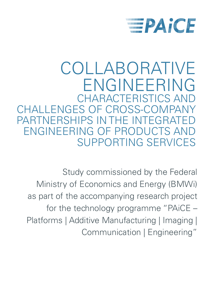

## COLLABORATIVE ENGINEERING CHARACTERISTICS AND CHALLENGES OF CROSS-COMPANY PARTNERSHIPS IN THE INTEGRAT ENGINEERING OF PRODUCTS AND SUPPORTING SERVICES

Study commissioned by the Federal Ministry of Economics and Energy (BMWi) as part of the accompanying research project for the technology programme "PAiCE – Platforms | Additive Manufacturing | Imaging | Communication | Engineering"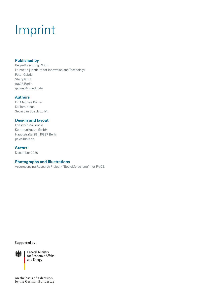# Imprint

### **Published by**

Begleitforschung PAiCE iit-Institut | Institute for Innovation and Technology Peter Gabriel Steinplatz 1 10623 Berlin gabriel@iit-berlin.de

### **Authors**

Dr. Matthias Künzel Dr. Tom Kraus Sebastian Straub LL.M.

### **Design and layout**

Loesch*Hund*Liepold Kommunikation GmbH Hauptstraße 28 | 10827 Berlin paice@lhlk.de

#### **Status**

December 2020

#### **Photographs and illustrations**

Accompanying Research Project ("Begleitforschung") for PAiCE

Supported by:



**Federal Ministry** for Economic Affairs and Energy

on the basis of a decision by the German Bundestag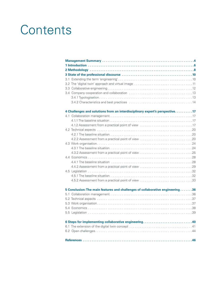# **Contents**

| 4 Challenges and solutions from an interdisciplinary expert's perspective17    |
|--------------------------------------------------------------------------------|
|                                                                                |
|                                                                                |
| 4.1.2 Assessment from a practical point of view 17                             |
|                                                                                |
|                                                                                |
|                                                                                |
|                                                                                |
|                                                                                |
|                                                                                |
|                                                                                |
|                                                                                |
|                                                                                |
|                                                                                |
|                                                                                |
|                                                                                |
| 5 Conclusion: The main features and challenges of collaborative engineering 36 |
|                                                                                |
|                                                                                |
|                                                                                |
|                                                                                |
|                                                                                |
| 6 Steps for implementing collaborative engineering 40                          |
|                                                                                |
|                                                                                |
|                                                                                |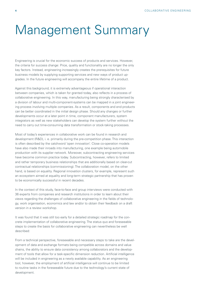## <span id="page-3-0"></span>Management Summary

Engineering is crucial for the economic success of products and services. However, the criteria for success change: Price, quality and functionality are no longer the only key factors. Instead, engineering increasingly creates the prerequisites for future business models by supplying supporting services and new ways of product upgrades. In the future engineering will accompany the entire lifetime of a product.

Against this background, it is extremely advantageous if operational interaction between companies, which is taken for granted today, also reflects in a process of collaborative engineering. In this way, manufacturing being strongly characterised by a division of labour and multi-component-systems can be mapped in a joint engineering process involving multiple companies. As a result, components and end products can be better coordinated in the initial design phase. Should any changes or further developments occur at a later point in time, component manufacturers, system integrators as well as new stakeholders can develop the system further without the need to carry out time-consuming data transformation or stock-taking processes.

Most of today's experiences in collaborative work can be found in research and development (R&D), i. e. primarily during the pre-competition phase. This interaction is often described by the catchword 'open innovation'. Close co-operation models have also made their inroads into manufacturing, one example being automobile production with its supplier network. Moreover, subcontracting engineering services have become common practice today. Subcontracting, however, refers to limited and rather temporary business relationships that are additionally based on clear-cut contractual relationships (commissioning). The collaboration model, on the other hand, is based on equality. Regional innovation clusters, for example, represent such an ecosystem aimed at equality and long-term strategic partnership that has proven to be economically successful in recent decades.

In the context of this study, face-to-face and group interviews were conducted with 36 experts from companies and research institutions in order to learn about their views regarding the challenges of collaborative engineering in the fields of technology, work organisation, economics and law and/or to obtain their feedback on a draft version in a review workshop.

It was found that it was still too early for a detailed strategic roadmap for the concrete implementation of collaborative engineering. The status quo and foreseeable steps to create the basis for collaborative engineering can nevertheless be well described:

From a technical perspective, foreseeable and necessary steps to take are the development of data and exchange formats being compatible across domains and value chains, the ability to ensure data consistency among collaborators and the development of tools that allow for a task-specific dimension reduction. Artificial intelligence will be included in engineering as a newly available capability. As an engineering tool, however, the employment of artificial intelligence will continue to be limited to routine tasks in the foreseeable future due to the technology's current state of development.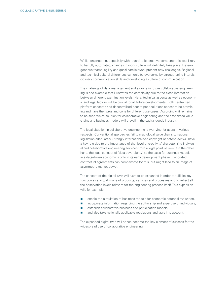Whilst engineering, especially with regard to its creative component, is less likely to be fully automated, changes in work culture will definitely take place: Heterogeneous teams, agility and quasi-parallel work present new challenges. Regional and technical cultural differences can only be overcome by strengthening interdisciplinary communication skills and developing a culture of communication.

The challenge of data management and storage in future collaborative engineering is one example that illustrates the complexity due to the close interaction between different examination levels. Here, technical aspects as well as economic and legal factors will be crucial for all future developments. Both centralized platform concepts and decentralized peer-to-peer solutions appear to be promising and have their pros and cons for different use cases. Accordingly, it remains to be seen which solution for collaborative engineering and the associated value chains and business models will prevail in the capital goods industry.

The legal situation in collaborative engineering is worrying for users in various respects. Conventional approaches fail to map global value chains to national legislation adequately. Strongly internationalised copyright or patent law will have a key role due to the importance of the 'level of creativity' characterizing individual and collaborative engineering services from a legal point of view. On the other hand, the legal concept of 'data sovereignty' as the basis for business models in a data-driven economy is only in its early development phase. Elaborated contractual agreements can compensate for this, but might lead to an image of asymmetric market power.

The concept of the digital twin will have to be expanded in order to fulfil its key function as a virtual image of products, services and processes and to reflect all the observation levels relevant for the engineering process itself. This expansion will, for example,

- enable the simulation of business models for economic potential evaluation,
- incorporate information regarding the authorship and expertise of individuals,
- **EXECUTE:** establish collaborative business and participation models
- and also take nationally applicable regulations and laws into account.

The expanded digital twin will hence become the key element of success for the widespread use of collaborative engineering.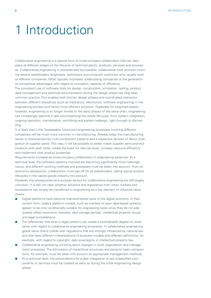## <span id="page-5-0"></span>1 Introduction

Collaborative engineering is a special form of cross-company collaboration that can take place at different stages of the lifecycle of technical plants, products, services and processes. Collaborative engineering is characterised by a parallel, collaborative work process involving several stakeholders (engineers, technicians and computer scientists) who usually work at different companies. What typically motivates collaborating companies is the generation of competitive advantages with regard to innovation, capacity or efficiency.

The consistent use of software tools for design, construction, simulation, testing, product data management and technical documentation during the design phase has long been common practice. This enables both shorter design phases and coordinated interaction between different disciplines (such as mechanics, electronics, software engineering) in the engineering process and hence more efficient solutions. Especially for long-lived assets, however, engineering is no longer limited to the early phases of the value chain. engineering has increasingly become a task accompanying the whole life-cycle, from system integration, ongoing operation, maintenance, retrofitting and system redesign, right through to dismantling.

It is likely that in the foreseeable future joint engineering processes involving different companies will be much more common in manufacturing. Already today the manufacturing sector is characterized by multi-component systems and a respective division of labour (integration of supplier parts). This way, it will be possible to better match supplier parts and end products with each other, create the basis for new services, increase resource efficiency and implement new product properties.

Requirements increase as cross-company collaboration in engineering advances: At a technical level, the software systems involved are becoming significantly more heterogeneous, and different working methods and processes must be taken into account. From an economic perspective, collaboration must pay off for all stakeholders, taking typical product lifecycles in the capital goods industry into account.

However, the prerequisites and success factors for collaborative engineering are still largely unknown. It is still not clear whether solutions and experience from other markets and ecosystems can simply be transferred to engineering as a key element of industrial value chains:

- Digital platforms have become tried-and-tested tools of the digital economy. In their current form, today's platform models, such as markets or open data-based systems, appear to be only conditionally suitable for engineering tasks since they do not adequately reflect economic interests, data storage periods, intellectual property issues and legal constellations.
- The differences that exist in legal systems can create a considerable degree of uncertainty with regard to collaborative engineering processes. In collaborative engineering, global value chains collide with regulations that are strongly influenced by national law and that have different interpretations of business models and different definitions, for example, with regard to copyright, data sovereignty or intellectual property law.
- **Collaborative engineering will bring about changes in work organisation and manage**ment processes. The elimination of hierarchical structures and dynamic team compositions, for example, must be taken into account by appropriate management methods.
- At a technical level, the preconditions for a later integration of yet unspecified components or services must be created as early as during the initial engineering design phase.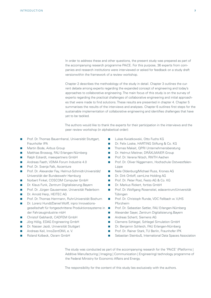In order to address these and other questions, the present study was prepared as part of the accompanying research programme PAiCE. For this purpose, 36 experts from companies and research institutions were interviewed or asked for feedback on a study draft versionwithin the framework of a review workshop.

Chapter 2 describes the methodology of the study in detail. Chapter 3 outlines the current debate among experts regarding the expanded concept of engineering and today's approaches to collaborative engineering. The main focus of this study is on the survey of experts regarding the practical challenges of collaborative engineering and initial approaches that were made to find solutions. These results are presented in chapter 4. Chapter 5 summarises the results of the interviews and analyses. Chapter 6 outlines first steps for the sustainable implementation of collaborative engineering and identifies challenges that have yet to be tackled.

The authors would like to thank the experts for their participation in the interviews and the peer review workshop (in alphabetical order):

- **Prof. Dr. Thomas Bauernhansl, Universität Stuttgart,** Fraunhofer IPA
- **Martin Bode, Airbus Group**
- **Matthias Brossog, FAU Erlangen-Nürnberg**
- Ralph Eckardt, maexpartners GmbH
- **Andreas Faath, VDMA Forum Industrie 4.0**
- **Prof. Dr. Svenja Falk, Accenture**
- **Prof. Dr. Alexander Fay, Helmut-Schmidt-Universität/** Universität der Bundeswehr Hamburg
- Norbert Finkel, COSCOM Computer GmbH
- Dr. Klaus Funk, Zentrum Digitalisierung.Bayern
- **Prof. Dr. Jürgen Gausemeier, Universität Paderborn**
- Dr. Arnold Herp, HEITEC AG
- **Prof. Dr. Thomas Herrmann, Ruhr-Universität Bochum**
- Dr. Lorenz Hundt/Daniel Wolff, inpro Innovationsgesellschaft für fortgeschrittene Produktionssysteme in der Fahrzeugindustrie mbH
- Christof Gebhardt, CADFEM GmbH
- Jörg Hölig, EDAG Engineering GmbH
- **Dr. Nasser Jazdi, Universität Stuttgart**
- Andreas Keil, InnoZentOWL e. V.
- Roland Kolbeck, Osram GmbH
- **Lukas Kwiatkowski, Otto Fuchs KG**
- Dr. Felix Loske, HARTING Stiftung & Co. KG
- Thomas Makait, QPRI Unternehmensberatung
- **Dr. Helmut Meitner, DRÄXLMAIER Group**
- **Prof. Dr. Verena Nitsch, RWTH Aachen**
- **Prof. Dr. Oliver Niggemann, Hochschule Ostwestfalen-**Lippe
- Nele Oldenburg/Michael Russ, Krones AG
- Dr. Dirk Ortloff, camLine Holding AG
- **Prof. Dr. Peter Post, Festo AG & Co. KG**
- Dr. Markus Rickert, fortiss GmbH
- Prof. Dr. Wolfgang Rosenstiel, edacentrum/Universität Tübingen
- Prof. Dr. Christoph Runde, VDC Fellbach w. V./HS Pforzheim
- Prof. Dr. Sebastian Sattler, FAU Erlangen-Nürnberg
- Alexander Sayer, Zentrum Digitalisierung.Bayern
- **Andreas Schertl, Siemens AG**
- Clemens Schlegel, Schlegel Simulation GmbH
- Dr. Benjamin Schleich, FAU Erlangen-Nürnberg
- **Prof. Dr. Rainer Stark, TU Berlin, Fraunhofer IPK**
- Sebastian Steinbuß, International Data Spaces Association

The study was conducted as part of the accompanying research for the 'PAiCE' (Platforms | Additive Manufacturing | Imaging | Communication | Engineering) technology programme of the Federal Ministry for Economic Affairs and Energy.

The responsibility for the content of this study lies exclusively with the authors.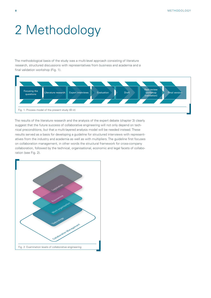# <span id="page-7-0"></span>2 Methodology

The methodological basis of the study was a multi-level approach consisting of literature research, structured discussions with representatives from business and academia and a final validation workshop (Fig. 1).



The results of the literature research and the analysis of the expert debate (chapter 3) clearly suggest that the future success of collaborative engineering will not only depend on technical preconditions, but that a multi-layered analysis model will be needed instead. These results served as a basis for developing a guideline for structured interviews with representatives from the industry and academia as well as with multipliers. The guideline first focuses on collaboration management, in other words the structural framework for cross-company collaboration, followed by the technical, organisational, economic and legal facets of collaboration (see Fig. 2).

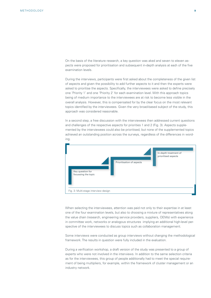On the basis of the literature research, a key question was aked and seven to eleven aspects were proposed for prioritisation and subsequent in-depth analysis at each of the five examination levels.

During the interviews, participants were first asked about the completeness of the given list of aspects and given the possibility to add further aspects to it and then the experts were asked to prioritise the aspects. Specifically, the interviewees were asked to define precisely one 'Priority 1' and one 'Priority 2' for each examination level. With this approach topics being of medium importance to the interviewees are at risk to become less visible in the overall analysis. However, this is compensated for by the clear focus on the most relevant topics identified by the interviewees. Given the very broad-based subject of the study, this approach was considered reasonable.

In a second step, a free discussion with the interviewees then addressed current questions and challenges of the respective aspects for priorities 1 and 2 (Fig. 3). Aspects supplemented by the interviewees could also be prioritised, but none of the supplemented topics achieved an outstanding position across the surveys, regardless of the differences in wording.



When selecting the interviewees, attention was paid not only to their expertise in at least one of the four examination levels, but also to choosing a mixture of representatives along the value chain (research, engineering service providers, suppliers, OEMs) with experience in committee work, networks or analogous structures implying an additional high-level perspective of the interviewees to discuss topics such as collaboration management.

Some interviews were conducted as group interviews without changing the methodological framework. The results in question were fully included in the evaluation.

During a verification workshop, a draft version of the study was presented to a group of experts who were not involved in the interviews. In addition to the same selection criteria as for the interviewees, this group of people additionally had to meet the special requirement of being multipliers, for example, within the framework of cluster management or an industry network.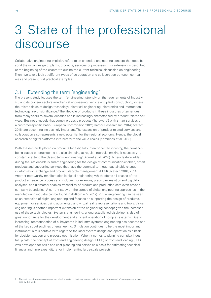## <span id="page-9-0"></span>3 State of the professional discourse

Collaborative engineering implicitly refers to an extended engineering concept that goes beyond the initial design of plants, products, services or processes. This extension is described at the beginning of the chapter to outline the current technical discussion on engineering. Then, we take a look at different types of co-operation and collaboration between companies and present first practical examples.

## 3.1 Extending the term 'engineering'

The present study focuses the term 'engineering' strongly on the requirements of Industry 4.0 and its pioneer sectors (mechanical engineering, vehicle and plant construction), where the related fields of design technology, electrical engineering, electronics and information technology are of significance.1 The lifecycle of products in these industries often ranges from many years to several decades and is increasingly characterised by product-related services. Business models that combine classic products ('hardware') with smart services on a customer-specific basis (European Commission 2012; Harbor Research Inc. 2014; acatech 2016) are becoming increasingly important. The expansion of product-related services and collaboration also represents a new potential for the regional economy. Hence, the global approach of digital platforms interacts with the value chains (Komninos et al. 2018).

With the demands placed on products for a digitally interconnected industry, the demands being placed on engineering are also changing at regular intervals, making it necessary to constantly extend the classic term 'engineering' (Künzel et al. 2016). A new feature added during the last decade is smart engineering for the design of communication-enabled, smart products and supporting services that have the potential to trigger sustainable change in information exchange and product lifecycle management (PLM) (acatech 2016, 2014). Another noteworthy manifestation is digital engineering which affects all phases of the product emergence process and includes, for example, predictive analytics and big data analyses, and ultimately enables traceability of product and production data even beyond company boundaries. A current study on the spread of digital engineering approaches in the manufacturing industry can be found in (Bitkom e. V. 2017). Virtual engineering can be seen as an extension of digital engineering and focuses on supporting the design of products. equipment or services using augmented and virtual reality representations and tools. Virtual engineering is another important extension of the engineering concept given the increased use of these technologies. Systems engineering, a long established discipline, is also of great importance for the development and efficient operation of complex systems. Due to increasing interconnection of subsystems in industry, systems engineering has become one of the key sub-disciplines of engineering. Simulation continues to be the most important instrument in this context with regard to the ideal system design and operation as a basis for decision support and process optimisation. When it comes to planning complex industrial plants, the concept of front-end engineering design (FEED) or front-end loading (FEL) was developed for basic and cost planning and serves as a basis for estimating technical, financial and time expenditure for implementing large-scale projects.

<sup>1</sup> The methods of bioprocess engineering, which are often collectively referred to by the term 'bioengineering' are expressly not covered by this study.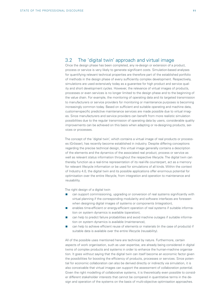## <span id="page-10-0"></span>3.2 The 'digital twin' approach and virtual image

Once the design phase has been completed, any re-design or extension of a product, process or service is very likely to generate significant costs. Simulation-based analyses for quantifying relevant technical properties are therefore part of the established portfolio of methods in the design phase of every sufficiently complex development. Respectively, simulations are used extensively today as a guarantee for high product and service quality and short development cycles. However, the relevance of virtual images of products, processes or even services is no longer limited to the design phase and to the beginning of the value chain. For example, the monitoring of operating data and its targeted transmission to manufacturers or service providers for monitoring or maintenance purposes is becoming increasingly common today. Based on sufficient and suitable operating and machine data, customer-specific predictive maintenance services are made possible due to virtual images. Since manufacturers and service providers can benefit from more realistic simulation possibilities due to the regular transmission of operating data by users, considerable quality improvements can be achieved on this basis when adapting or re-designing products, services or processes.

The concept of the 'digital twin', which contains a virtual image of real products or processes (Grösser), has recently become established in industry. Despite differing conceptions regarding the precise technical design, this virtual image generally contains a description of the elements and the dynamics of the associated real product, process or service as well as relevant status information throughout the respective lifecycle. The digital twin can thereby function as a real-time representation of its real-life counterpart, act as a memory for relevant lifecycle information or be used for simulations of all kinds. Within the context of Industry 4.0, the digital twin and its possible applications offer enormous potential for optimisation over the entire lifecycle, from integration and operation to maintenance and reusability.

The right design of a digital twin

- **EXECT** can support commissioning, upgrading or conversion of real systems significantly with virtual planning if the corresponding modularity and software interfaces are foreseen when designing digital images of systems or components (integration),
- enables time-efficient or energy-efficient operation of real systems if suitable information on system dynamics is available (operation),
- can help to predict failure probabilities and avoid machine outages if suitable information on system dynamics is available (maintenance),
- can help to achieve efficient reuse of elements or materials (in the case of products) if suitable data is available over the entire lifecycle (reusability).

All of the possible uses mentioned here are technical by nature. Furthermore, certain aspects of work organisation, such as user expertise, are already being considered in digital twins of complex products and systems in order to enhance the human-machine organisation. It goes without saying that the digital twin can itself become an economic factor given the possibilities for boosting the efficiency of products, processes or services. Since potential for economic collaboration can also be derived directly or indirectly via simulation, it is also conceivable that virtual images can support the assessment of collaboration potential. Given the right modelling of collaborative systems, it is theoretically even possible to consider different stakeholder interests that cannot be compared in quantitative terms in the design and operation of the systems on the basis of multi-objective optimisation approaches.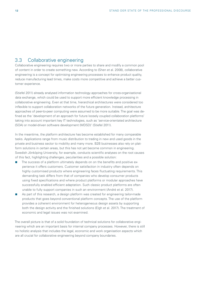## <span id="page-11-0"></span>3.3 Collaborative engineering

Collaborative engineering requires two or more parties to share and modify a common pool of content in order to create something new. According to (Shen et al. 2008), collaborative engineering is a concept for optimising engineering processes to enhance product quality, reduce manufacturing lead times, make costs more competitive and achieve a better customer experience.

(Stiefel 2011) already analysed information technology approaches for cross-organisational data exchange, which could be used to support more efficient knowledge processing in collaborative engineering. Even at that time, hierarchical architectures were considered too inflexible to support collaboration networks of the future generation. Instead, architecture approaches of peer-to-peer computing were assumed to be more suitable. The goal was defined as the 'development of an approach for future loosely coupled collaboration platforms' taking into account important key IT technologies, such as 'service-orientated architecture (SOA) or model-driven software development (MDSD)' (Stiefel 2011).

In the meantime, the platform architecture has become established for many comparable tasks. Applications range from music distribution to trading in new and used goods in the private and business sector to mobility and many more. B2B businesses also rely on platform solutions in certain areas, but this has not yet become common in engineering. Swedish Jönköping University, for example, conducts scientific analyses on the root causes of this fact, highlighting challenges, peculiarities and a possible solution:

- The success of a platform ultimately depends on on the benefits and positive experience it offers customers. Customer satisfaction in industry often depends on highly customised products where engineering faces fluctuating requirements. This demanding task differs from that of companies who develop consumer products using fixed specifications and where product platforms or modular approaches have successfully enabled efficient adaptation. Such classic product platforms are often unable to fully support companies in such an environment (André et al. 2017).
- As part of this research, a design platform was created for engineering tailor-made products that goes beyond conventional platform concepts. The use of the platform provides a coherent environment for heterogeneous design assets by supporting both the design activity and the finished solutions (Elgh et al. 2017). The treatment of economic and legal issues was not examined.

The overall picture is that of a solid foundation of technical solutions for collaborative engineering which are an important basis for internal company processes. However, there is still no holistic analysis that includes the legal, economic and work organisation aspects which are all crucial for collaborative engineering beyond company boundaries.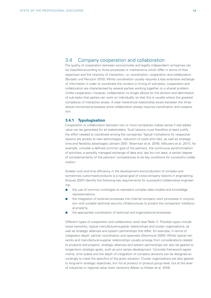## <span id="page-12-0"></span>3.4 Company cooperation and collaboration

The quality of cooperation between economically and legally independent companies can be classified according to three processes or mechanisms which differ in terms of their objectives and the intensity of interaction, i.e. coordination, cooperation and collaboration (Borsato und Peruzzini 2015). Whilst coordination usually requires a less extensive exchange of information in order to coordinate the content or timing of sub-tasks, cooperation and collaboration are characterised by several parties working together on a shared problem. Unlike cooperation, however, collaboration no longer allows for the division and delimitation of sub-tasks that parties can work on individually, so that this is usually where the greatest complexity of interaction arises. A clear hierarchical relationship exists between the three above-mentioned processes since collaboration always requires coordination and cooperation.

#### **3.4.1 Typologisation**

Cooperation or collaboration between two or more companies makes sense if real added value can be generated for all stakeholders. Such liaisons must therefore at least justify the effort needed to coordinate among the companies. Typical motivations for respective liaisons are access to new technologies, reduction of costs and risks, as well as strategic time and flexibility advantages (Jensen 2001; Moerman et al. 2016). (Wouters et al. 2017), for example, consider a defined common goal of the partners, the continuous synchronisation of activities, a sensibly managed exchange of data and, last but not least, a certain degree of complementarity of the partners' competences to be key conditions for successful collaboration.

Greater cost and time efficiency in the development and production of complex and sometimes customised products is a typical goal of cross-company liaisons in engineering. (Krause 2007) identify the following key requirements for successful collaborative engineering:

- **the use of common ontologies to represent complex data models and knowledge** representations,
- $\blacksquare$  the integration of external processes into internal company work processes in conjunction with suitable technical security infrastructures to protect the companies' intellectual property,
- the appropriate coordination of technical and organisational processes.

Different types of cooperation and collaboration exist (see Table 1). Possible types include loose networks, typical manufacturer-supplier relationships and cluster organisations, as well as strategic alliances and system partnerships that differ, for example, in terms of integration depth, partner coordination and openness (Steinhorst 2005). Whilst typical networks and manufacturer-supplier relationships usually emerge from considerations related to products and projects, strategic alliances and system partnerships can also be geared to longer-term strategic goals, such as joint series development. Concrete framework agreements, time scales and the depth of integration of company divisions can be designed accordingly to meet the specifics of the given situation. Cluster organisations are also geared to long-term strategic objectives, but not at product or product group level, but at the level of industries or regional value chain networks (Meier zu Köcker et al. 2016).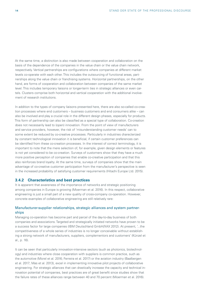At the same time, a distinction is also made between cooperation and collaboration on the basis of the dependence of the companies in the value chain or the value chain network, respectively. Vertical partnerships are configurations where companies at different market levels co-operate with each other. This includes the outsourcing of functional areas, partnerships along the value chain or franchising systems. Horizontal partnerships, on the other hand, are forms of cooperation and collaboration between companies of the same market level. This includes temporary liaisons or longer-term ties in strategic alliances or even cartels. Clusters comprise both horizontal and vertical cooperation with the additional involvement of research institutions.

In addition to the types of company liaisons presented here, there are also so-called co-creation processes where end customers – business customers and end consumers alike – can also be involved and play a crucial role in the different design phases, especially for products. This form of partnership can also be classified as a special type of collaboration. Co-creation does not necessarily lead to (open) innovation. From the point of view of manufacturers and service providers, however, the risk of 'misunderstanding customer needs' can to some extent be reduced by co-creative processes. Particularly in industries charecterized by constant technological innovation it is beneficial, if certain customer preferences can be identified from these co-creation processes. In the interest of correct terminology, it is important to note that the mere selection of, for example, given design elements or features is not yet considered to be co-creation. Surveys of customers show that they have a much more positive perception of companies that enable co-creative participation and that this also reinforces brand loyalty. At the same time, surveys of companies show that the main advantage of co-creative customer participation from the manufacturer's perspective is seen in the increased probability of satisfying customer requirements (Hitachi Europe Ltd. 2015).

#### **3.4.2 Characteristics and best practices**

It is apparent that awareness of the importance of networks and strategic positioning among companies in Europe is growing (Moerman et al. 2016). In this respect, collaborative engineering is just a small part of a new quality of cross-company co-operation. However, concrete examples of collaborative engineering are still relatively rare:

#### Manufacturer-supplier relationships, strategic alliances and system partnerships

Managing co-operation has become part and parcel of the day-to-day business of both companies and associations. Targeted and strategically initiated networks have proven to be a success factor for large companies (IBM Deutschland GmbH/XAX 2012). At present, '...the competitiveness of a whole series of industries is no longer conceivable without establishing a strong network of manufacturers, suppliers, complementors and customers' (Künzel et al., p. 16).

It can be seen that particularly innovation-intensive sectors (such as photonics, biotechnology) and industries where close cooperation with suppliers is common practice, such as the automotive (Morel et al. 2016; Ferreira et al. 2017) or the aviation industry (Baalbergen et al. 2017; Mas et al. 2013), excel in implementing innovative pilot projects of collaborative engineering. For strategic alliances that can drastically increase the capacity and technical innovation potential of companies, best practices are of great benefit since studies show that the failure rates of these alliances range between 40 and 70 percent (Moerman et al. 2016).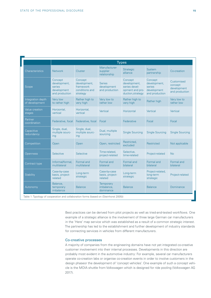<span id="page-14-0"></span>

|                                     |                                                                    |                                                                    |                                                | <b>Types</b>                                                                     |                                                                    |                                                        |
|-------------------------------------|--------------------------------------------------------------------|--------------------------------------------------------------------|------------------------------------------------|----------------------------------------------------------------------------------|--------------------------------------------------------------------|--------------------------------------------------------|
| Characteristics                     | <b>Network</b>                                                     | Cluster                                                            | Manufacturer-<br>supplier<br>relationship      | <b>Strategic</b><br>alliance                                                     | System<br>partnership                                              | Co-creation                                            |
| Scope                               | Concept<br>development,<br>series<br>development<br>and production | Concept<br>development,<br>framework<br>conditions and<br>strategy | <b>Series</b><br>development<br>and production | Concept<br>development,<br>series devel-<br>opment and pro-<br>duction, strategy | Concept<br>development,<br>series<br>development<br>and production | Customised<br>concept<br>development<br>and production |
| Integration depth<br>of development | Very low<br>to rather high                                         | Rather high to<br>very high                                        | Very low to<br>rather low                      | Rather high to<br>very high                                                      | Rather high                                                        | Very low to<br>rather low                              |
| <b>Value creation</b><br>stages     | Horizontal,<br>vertical                                            | Horizontal,<br>vertical                                            | Vertical                                       | Horizontal                                                                       | Vertical                                                           | Vertical                                               |
| Partner<br>coordination             | Federative, focal                                                  | Federative, focal                                                  | Focal                                          | Federative                                                                       | Focal                                                              | Focal                                                  |
| Capacitive<br>redundancy            | Single, dual,<br>multiple sourc-<br>ing                            | Single, dual,<br>multiple sourc-<br>ing                            | Dual, multiple<br>sourcing                     | <b>Single Sourcing</b>                                                           | <b>Single Sourcing</b>                                             | <b>Single Sourcing</b>                                 |
| Competition                         | Open                                                               | Open                                                               | Open, restricted                               | Restricted,<br>excluded                                                          | Restricted                                                         | Not applicable                                         |
| <b>Openness</b>                     | Selective                                                          | Selective                                                          | Time-related,<br>project-related               | Selective,<br>time-related                                                       | Project-related                                                    | <b>No</b>                                              |
| Contract type                       | Informal/formal,<br>multilateral                                   | Formal and<br>multilateral                                         | Formal and<br>bilateral                        | Formal and<br>bilateral                                                          | Formal and<br>bilateral                                            | Formal and<br>bilateral                                |
| Stability                           | Case-by-case<br>basis, project-<br>related                         | Long-term<br>strategic                                             | Case-by-case<br>basis, project-<br>related     | Long-term<br>strategic                                                           | Project-related,<br>long-term<br>strategic                         | Project-related                                        |
| Autonomy                            | Balance,<br>temporary<br>imbalance                                 | <b>Balance</b>                                                     | <b>Temporary</b><br>imbalance,<br>dominance    | <b>Balance</b>                                                                   | <b>Balance</b>                                                     | Dominance                                              |

Best practices can be derived from pilot projects as well as tried-and-tested workflows. One example of a strategic alliance is the involvement of three large German car manufacturers in the 'Here' map service which was established as a result of a common strategic interest. The partnership has led to the establishment and further development of industry standards for connecting services in vehicles from different manufacturers.

#### Co-creative processes

A majority of companies from the engineering domains have not yet integrated co-creative customer involvement into their internal processes. Developments in this direction are probably most evident in the automotive industry: For example, several car manufacturers operate co-creation labs or organise co-creation events in order to involve customers in the design phaseor the development of 'concept vehicles'. One example of such a concept vehicle is the MOIA shuttle from Volkswagen which is designed for ride pooling (Volkswagen AG 2017).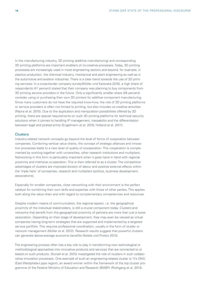In the manufacturing industry, 3D printing (additive manufacturing) and corresponding 3D printing platforms are important enablers of co-creative processes. Today, 3D printing processes are increasingly used in most engineering sectors and beyond, for example, in plastics production, the chemical industry, mechanical and plant engineering as well as in the automotive and aviation industries. There is a clear trend towards the use of 3D printing services: In a cross-border company survey(Müller und Karevska 2016), a high share of respondents (41 percent) stated that their company was planning to buy components from 3D printing service providers in the future. Only a significantly smaller share (26 percent) consider using or purchasing their own 3D printers for additive component manufacturing. Since many customers do not have the required know-how, the role of 3D printing platforms or service providers is often not limited to printing, but also includes co-creative activities (Rayna et al. 2015). Due to the duplication and manipulation possibilities offered by 3D printing, there are special requirements on such 3D printing platforms for technical security solutions when it comes to handling IP management, traceability and the differentiation between legal and pirated prints (Engelmann et al. 2018; Holland et al. 2017).

#### **Clusters**

Industry-related network concepts go beyond the level of forms of cooperation between companies. Combining vertical value chains, the concept of strategic alliances and innovation processes leads to a new level of quality of covoperation. This cooperation is complemented by working together with universities, other research institutions and multipliers. Networking in this form is particularly important when it goes hand in hand with regional proximity and intensive co-operation. This is then referred to as a cluster. The competitive advantages of clusters are improved division of labour and positive external effects within the 'triple helix' of companies, research and multipliers (politics, business development, associations).

Especially for smaller companies, close networking with their environment is the perfect catalyst for combining their own skills and expertise with those of other parties. This applies both along the value chain and with regard to complementary competencies and resources.

Despite modern means of communication, the regional aspect, i.e. the geographical proximity of the individual stakeholders, is still a crucial component today. Clusters and networks that benefit from the geographical proximity of partners are more than just a loose association. Depending on their stage of development, they may even be viewed as virtual companies having long-term strategies that are supported and implemented by a targeted service portfolio. This requires professional coordination, usually in the form of cluster or network management (Müller et al. 2012). Research results suggest that powerful clusters can generate above-average economic benefits (Ketels und Protsiv 2013).

The engineering process often has a key role to play in transforming new technological or methodological approaches into innovative products and services that are connected to or based on such products. (Künzel et al. 2015) investigated the role of clusters in such collaborative innovation processes. One example of such an engineering-related cluster is 'it's OWL' (East Westphalia-Lippe region), an award winner within the framework of the top cluster programme of the Federal Ministry of Education and Research (BMBF) (Rothgang et al. 2014).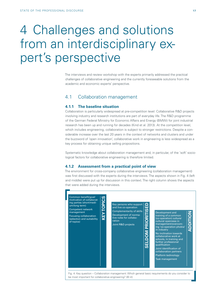## 4 Challenges and solutions from an interdisciplinary expert's perspective

The interviews and review workshop with the experts primarily addressed the practical challenges of collaborative engineering and the currently foreseeable solutions from the academic and economic experts' perspective.

### 4.1 Collaboration management

#### **4.1.1 The baseline situation**

Collaboration is particularly widespread at pre-competition level: Collaborative R&D projects involving industry and research institutions are part of everyday life. The R&D programme of the German Federal Ministry for Economic Affairs and Energy (BMWi) for joint industrial research has been up and running for decades (Kind et al. 2013). At the competition level, which includes engineering, collaboration is subject to stronger restrictions. Despite a considerable increase over the last 20 years in the context of networks and clusters and under the buzzword of 'open innovation', collaborative work in engineering is less widespread as a key process for obtaining unique selling propositions.

Systematic knowledge about collaboration management and, in particular, of the 'soft' sociological factors for collaborative engineering is therefore limited.

#### **4.1.2 Assessment from a practical point of view**

The environment for cross-company collaborative engineering (collaboration management) was first discussed with the experts during the interviews. The aspects shown in Fig. 4 (left and middle) were put up for discussion in this context. The right column shows the aspects that were added during the interviews.



be most important for collaborative engineering? (© iit)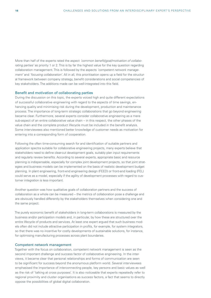<span id="page-17-0"></span>More than half of the experts rated the aspect *'common benefit/goal/motivation of collaborating parties'* as priority 1 or 2. This is by far the highest value for the key question regarding collaboration management. This is followed by the aspects *'competent network management'* and *'focusing collaboration'*. All in all, this prioritisation opens up a field for the structural framework between company strategy, benefit considerations and social competencies of key stakeholders. The additions made can be well-integrated into this field.

#### Benefit and motivation of collaborating parties

During the discussion on this topic, the experts voiced high and quite different expectations of successful collaborative engineering with regard to the aspects of time savings, enhancing quality and minimising risk during the development, production and maintenance process. The importance of long-term strategic collaborations that go beyond engineering became clear. Furthermore, several experts consider collaborative engineering as a mere sub-aspect of an entire collaborative value chain – in this respect, the other phases of the value chain and the complete product lifecycle must be included in the benefit analysis. Some interviewees also mentioned better knowledge of customer needs as motivation for entering into a corresponding form of cooperation.

Following the often time-consuming search for and identification of suitable partners and application spectra suitable for collaborative engineering projects, many experts believe that stakeholders need to define clear-cut development goals, suitably plan input requirements and regularly review benefits. According to several experts, appropriate basic and resource planning is indispensable, especially for complex joint development projects, so that joint strategies and business models can be implemented on the basis of realistic development budget planning. In plant engineering, front-end engineering design (FEED) or front-end loading (FEL) could serve as a model, especially if the agility of development processes with regard to customer integration is less important.

Another question was how qualitative goals of collaboration partners and the success of collaboration as a whole can be measured – the metrics of collaboration pose a challenge and are obviously handled differently by the stakeholders themselves when considering one and the same project.

The purely economic benefit of stakeholders in long-term collaborations is measured by the business and/or participation models and, in particular, by how these are structured over the entire lifecycle of products and services. At least one expert argued that such business models often did not include attractive participation in profits, for example, for system integrators, so that there was no incentive for costly developments of sustainable solutions, for instance, for optimising manufacturing processes across plant boundaries.

#### Competent network management

Together with the focus on collaboration, competent network management is seen as the second important challenge and success factor of collaborative engineering. In the interviews, it became clear that personal relationships and forms of communication are seen to be significant for success beyond the anonymous platform world. Several interviewees emphasised the importance of interconnecting people, key persons and basic values as well as the risk of 'talking at cross purposes'. It is also noticeable that experts repeatedly refer to regional proximity and cluster organisations as success factors, a fact that seems to directly oppose the possibilities of global digital collaboration.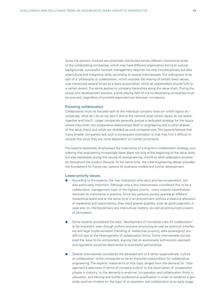Since the persons involved are potentially distributed across different hierarchical levels of the collaborating companies, which may have different organisation forms or cultural backgrounds, successful network management requires not only interdisciplinary but also intercultural and integrative skills, according to several interviewees. The willingness to be part of a 'philosophy of collaboration', which includes the sharing of certain basic values, was mentioned several times as a basic precondition which all stakeholders should fulfil to a certain extent. The same applies to company hierarchies along the value chain: During the actual joint development process, a level playing field of the co-developing companies must be ensured, regardless of possible dependencies between companies.

#### Focusing collaboration

Collaboration must be focused both at the individual company level (on which topics do I cooperate, what do I do on my own?) and at the network level (which topics do we tackle together and how?). Larger companies generally pursue a dedicated strategy for the topics where they enter into cooperative relationships (both in engineering and in other phases of the value chain) and which are shielded as core competencies. The experts believe that many smaller companies lack such a consequent orientation or that they find it difficult to achieve this since they are more dependent on market constraints.

The experts repeatedly emphasised the importance of a long-term collaboration strategy, considering that engineering increasingly takes place not only at the beginning of the value chain, but also repeatedly during the course of re-engineering, retrofit or other adaptation processes throughout the product lifecycle. At the same time, the initial engineering design provides the foundations for future use, options for business models and further development.

#### Lower-priority issues

- According to the experts, the *'key individuals who carry and live co-operation'*, are also particularly important. Although only a few interviewees considered this to be a collaboration management topic of the highest priority , many experts nevertheless stressed its importance in practice. Since key persons usually operate at different hierarchical levels and at the same time in an environment without a clear-cut allocation of leadership and responsibility, they need special qualities, such as good judgment, in case also on interdisciplinary and intercultural matters, as well as pronounced powers of persuasion.
- Some experts considered the topic *'development of normative rules for collaboration'* to be important, even though uniform process structuring as well as technical (interfaces) and legal implementation (handling of intellectual property, data sovereignty) are difficult due to the heterogeneity of collaboration forms. Some interviewees considered the issue to be unimportant, arguing that an excessively technocratic approach and regulation would be detrimental to successful partnerships.
- Several interviewees considered the development of a rather superordinate 'culture of collaboration' within companies to be an important precondition for collaborative engineering. The experts' statements on this topic ranged from the demand for *'management's openness in terms of company culture'* to the observation of *'cooperation phobia in industry'* to the demand to enshrine *'co-operation and collaboration firmly in education, and training and further professional qualification'* in order to establish a generally positive mindset for the topic of co-operation and collaboration at an early stage.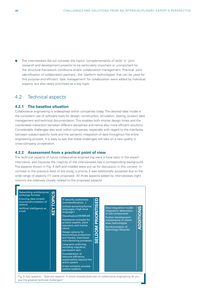The interviewees did not consider the topics *'complementarity of skills' or 'joint research and development projects'* to be particularly important or unimportant for the structural framework conditions and/or collaboration management. Practical *'joint identification of collaboration partners'*, the *'platform technologies'* that can be used for this purpose and efficient *'task management'* for collaboration were added by individual experts, but also rarely prioritised as a key topic.

## 4.2 Technical aspects

#### **4.2.1 The baseline situation**

Collaborative engineering is widespread within companies today. The desired ideal model is the consistent use of software tools for design, construction, simulation, testing, product data management and technical documentation. This enables both shorter design times and the coordinated interaction between different disciplines and hence also more efficient solutions. Considerable challenges also exist within companies, especially with regard to the interfaces between subject-specific tools and the semantic integration of data throughout the entire engineering process. It is easy to see that these challenges will take on a new quality in cross-company co-operation.

#### **4.2.2 Assessment from a practical point of view**

The technical aspects of future collaborative engineering were a focal topic in the expert interviews, also because the majority of the interviewees had a corresponding background. The aspects shown in Fig. 4 (left and middle) were put up for discussion in this context. In contrast to the previous level of the study, a priority 3 was additionally accepted due to the wide range of aspects (11 were proposed). All three aspects added by interviewees (right column) are relatively closely related to the proposed aspects.



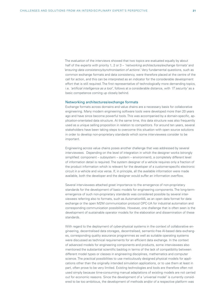<span id="page-20-0"></span>The evaluation of the interviews showed that two topics are evaluated equally by about half of the experts with priority 1, 2 or 3 – *'networking architectures/exchange formats'* and *'ensuring data consistency/synchronisation of actions'*. Very fundamental questions, such as common exchange formats and data consistency, were therefore placed at the centre of the call for action, and this can be interpreted as an indicator for the considerable development effort that is still required. The first representative of technologically more demanding topics, i.e. *'artificial intelligence as a tool'*, follows at a considerable distance, with *'IT security'* as a basic competence coming up closely behind.

#### Networking architectures/exchange formats

Exchange formats across domains and value chains are a necessary basis for collaborative engineering. Many modern engineering software tools were developed more than 20 years ago and have since become powerful tools. This was accompanied by a domain-specific, application-orientated data structure. At the same time, this data structure was also frequently used as a unique selling proposition in relation to competitors. For around ten years, several stakeholders have been taking steps to overcome this situation with open source solutions in order to develop non-proprietary standards which some interviewees consider to be important.

Engineering across value chains poses another challenge that was addressed by several interviewees. Depending on the level of integration in which the designer works (strongly simplified: component – subsystem – system – environment), a completely different level of information detail is required. The system designer of a vehicle requires only a fraction of the product information which is relevant for the developer of a customer-specific electronic circuit in a vehicle and vice versa. If, in principle, all the available information were made available, both the developer and the designer would suffer an information overflow.

Several interviewees attached great importance to the emergence of non-proprietary standards for the development of basic models for engineering components. The long-termemergence of such non-proprietary standards was considered possible by several interviewees referring also to formats, such as AutomationML as an open data format for data exchange or the open M2M communication protocol OPC-UA for industrial automation and corresponding communication possibilities. However, one challenge that is often seen is the development of sustainable operator models for the elaboration and dissemination of these standards.

With regard to the deployment of cyber-physical systems in the context of collaborative engineering, decentralised data storages, decentralised, semantic-free AI-based data exchanges, corresponding quality assurance programmes as well as suitable operating systems were discussed as technical requirements for an efficient data exchange. In the context of advanced models for engineering components and products, some interviewees also mentioned the substantial scientific backlog in terms of the lack of compatibility between different model types or classes in engineering disciplines, mathematics and computer science. The practical possibilities to use meticulously designed physical models for applications other than the originally intended simulation applications, or to use them at least in part, often prove to be very limited. Existing technologies and tools are therefore often not used simply because time-consuming manual adaptations of existing models are not carried out for economic reasons. Since the development of a 'universal model' is currently considered to be too ambitious, the development of methods and/or of a respective platform was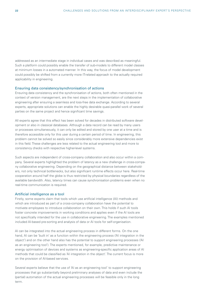addressed as an intermediate stage in individual cases and was described as meaningful. Such a platform could possibly enable the transfer of sub-models to different model classes at minimum losses in a automated manner. In this way, the focus of model development could possibly be shifted from a currently more IT-related approach to the actually required applicability in engineering.

#### Ensuring data consistency/synchronisation of actions

Ensuring data consistency and the synchronisation of actions, both often mentioned in the context of version management, are the next steps in the implementation of collaborative engineering after ensuring a seamless and loss-free data exchange. According to several experts, appropriate solutions can enable the highly desirable quasi-parallel work of several parties on the same project and hence significant time savings.

All experts agree that this effect has been solved for decades in distributed software development or also in classical databases. Although a data record can be read by many users or processes simultaneously, it can only be edited and stored by one user at a time and is therefore accessible only for this user during a certain period of time. In engineering, this problem cannot be solved so easily since considerably more extensive dependencies exist in this field. These challenges are less related to the actual engineering tool and more to consistency checks with respective higher-level systems.

Such aspects are independent of cross-company collaboration and also occur within a company. Several experts highlighted the problem of latency as a new challenge in cross-company collaborative engineering. Depending on the geographical distance between stakeholders, not only technical bottlenecks, but also significant runtime effects occur here. Real-time cooperation around half the globe is thus restricted by physical boundaries regardless of the available bandwidth. Also, latency times can cause synchronisation problems even when no real-time communication is required.

#### Artificial intelligence as a tool

Firstly, some experts claim that tools which use artificial intelligence (AI) methods and which are introduced as part of a cross-company collaboration have the potential to motivate employees to introduce collaboration on their own. This holds if such AI tools foster concrete improvements in working conditions and applies even if the AI tools are not specifically intended for the use in collaborative engineering. The examples mentioned included AI-based pre-sorting and analysis of data or AI tools for self-organisation.

AI can be integrated into the actual engineering process in different forms. On the one hand, AI can be 'built in' as a function within the engineering process ('AI integration in the object') and on the other hand also has the potential to support engineering processes ('AI as an engineering tool'). The experts mentioned, for example, predictive maintenance or energy optimisation of devices and systems as engineering-specific application areas of AI methods that could be classified as 'AI integration in the object'. The current focus is more on the provision of AI-based services.

Several experts believe that the use of 'AI as an engineering tool' to support engineering processes that go substantially beyond preliminary analyses of data and even include the (partial) automation of the actual engineering processes will be feasible only in the long term.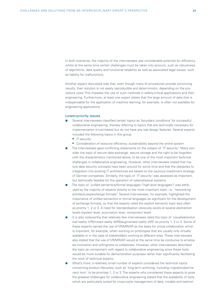In both scenarios, the majority of the interviewees see considerable potential for efficiency whilst at the same time certain challenges must be taken into account, such as robustness of algorithms, data quality and functional reliability as well as associated legal issues, such as liability for malfunctions.

Another aspect discussed was that, even though many AI procedures provide convincing results, their solution is not easily reproducible and deterministic, depending on the procedure used. This impedes the use of such methods in safety-critical applications and their engineering. Furthermore, at least one expert states that the large amount of data that is indispensable for the application of machine learning, for example, is often not available for engineering applications.

#### Lower-priority issues

- Several interviewees classified certain topics as 'boundary conditions' for successful collaborative engineering, thereby referring to topics that are technically necessary for implementation (must-haves) but do not have any real design features. Several experts included the following topics in this group:
	- *IT security*
	- *Consideration of resource efficiency, sustainability beyond the entire system*
- The interviewees gave conflicting statements on the subject of *'IT security'*: Many consider the topic of secure data exchange, secure storage and the right to be forgotten, with the characteristics mentioned above, to be one of the most important technical challenges in collaborative engineering. However, other interviewees stated that mature data security concepts have been around for some time and that the obstacles to integration into existing IT architectures are based on the cautious investment strategy of German companies. Similarly, the topic of *'IT security'* was assessed as important, but technically feasible for the operation of cyber-physical systems.
- The topic of *'unified semantics/formal languages ('high-level languages')'* was attributed by the majority of experts directly to the most important topic, i.e. *'networking architectures/exchange formats'*. Several interviewees, for example, highlighted the importance of unified semantics or formal languages as significant for the development of exchange formats, so that the experts rated the explicit semantic topic less often as priority 1, 2 or 3. A need for standardisation obviously exists at several abstraction levels (system level, automation level, component level).
- It is also noteworthy that relatively few interviewees rated the topic of *'visualisation/virtual reality (VR)/mixed reality (MR)/augmented reality (AR)'* as priority 1, 2 or 3. Some of these experts named the use of VR/MR/AR as the basis for virtual collaboration which is important, for example, when working on prototypes that are usually only virtually available or in the case of stakeholders working at different sites. These interviewees also stated that the use of VR/MR/AR would at the same time be conducive to employee motivation and willingness to collaborate. However, other interviewees described the topic as unimportant with regard to collaborative engineering since these tools would be more suitable for demonstration purposes rather than significantly facilitating the work of technical experts.
- What's more, a relatively small number of experts considered the technical topics concerning product lifecycles, such as *'long-term archiving, including migration/permanent twin'*, to be priorities 1, 2 or 3. The experts who considered these aspects to pose the greatest challenges for collaborative engineering stated that the availability of tools which are particularly suited for cross-cycle management of data, models and technol-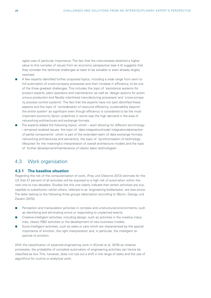ogies was of particular importance. The fact that the interviewees attached a higher value to this complex of issues from an economic perspective (see 4.4) suggests that they consider the technical challenges at least to be solvable or even already largely resolved.

- A few experts identified further proposed topics, including a wide range from semi to full automation of cross-company processes and their increase in efficiency, to be one of the three greatest challenges. This includes the topic of *'assistance systems for product experts, plant operators and maintenance'* as well as *'design options for autonomous production and flexibly interlinked manufacturing processes'* and *'cross-company process control systems'*. The fact that the experts have not (yet) identified these aspects and the topic of *'consideration of resource efficiency, sustainability beyond the entire system'* as significant even though efficiency is considered to be the most important economic factor underlines in some way the high demand in the area of networking architectures and exchange formats.
- The experts added the following topics, which even allowing for different terminology – remained isolated issues: the topic of *'data integration/model integration/abstraction of partial components'*, which is part of the extended realm of data exchange formats, networking architectures and semantics, the topic of *'synchronisation of technology lifecycles'* for the meaningful interpretation of overall architecture models and the topic of *'further development/maintenance of classic basic technologies'*.

## 4.3 Work organisation

#### **4.3.1 The baseline situation**

Regarding the risk of the computerisation of work, (Frey und Osborne 2013) estimate for the US that 47 percent of all activities will be exposed to a high risk of automation within the next one to two decades. Studies like this one clearly indicate that certain activities are susceptible to substitution whilst others, referred to as 'engineering bottlenecks', are less prone. The latter belong to the following three groups (description according to (Bonin, Georgy und Zierahn 2015)):

- **Perception and manipulation activities in complex and unstructured environments, such** as identifying and eliminating errors or responding to unplanned events.
- **Creative-intelligent activities, including design, such as activities in the creative indus**tries, classic R&D activities or the development of new business models.
- Socio-intelligent activities, such as sales or care which are characterised by the special importance of emotion, the right interpretation and, in particular, the intelligent response to emotion.

With the classification of essential engineering work in (Künzel et al. 2016) as creative processes, the probability of complete automation of engineering activities can hence be classified as low. This, however, does not rule out a shift in the range of tasks and the use of algorithms for routine or analytical work.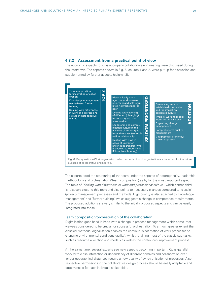#### **4.3.2 Assessment from a practical point of view**

The economic aspects for cross-company collaborative engineering were discussed during the interviews. The aspects shown in Fig. 6, column 1 and 2, were put up for discussion and supplemented by further aspects (column 3).



The experts rated the structuring of the team under the aspects of heterogeneity, leadership methodology and orchestration ('team composition') as by far the most important aspect. The topic of *'dealing with differences in work and professional culture'*, which comes third, is relatively close to this topic and also points to necessary changes compared to 'classic' (project) management processes and methods. High priority is also attached to 'knowledge management' and 'further training', which suggests a change in competence requirements. The proposed additions are very similar to the initially proposed aspects and can be easily integrated into these.

#### Team composition/orchestration of the collaboration

Digitalisation goes hand in hand with a change in process management which some interviewees considered to be crucial for successful orchestration. To a much greater extent than classical methods, digitalisation enables the continuous adaptation of work processes to changing environmental conditions (agility), whilst retaining most of the classic sub-tasks, such as resource allocation and models as well as the continuous improvement process.

At the same time, several experts see new aspects becoming important: Quasi-parallel work with close interaction or dependency of different domains and collaboration over longer geographical distances require a new quality of synchronisation of processes. Also, respective permissions in the collaborative design process should be easily adaptable and determinable for each individual stakeholder.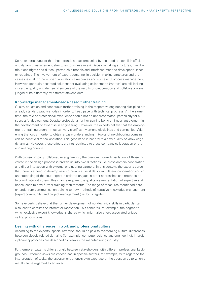<span id="page-25-0"></span>Some experts suggest that these trends are accompanied by the need to establish efficient and dynamic management structures (business rules). Decision-making structures, role distributions (rights and duties), partnership models and interfaces must be developed further or redefined. The involvement of expert personnel in decision-making structures and processes is vital for the efficient allocation of resources and successful process management. However, generally accepted solutions for evaluating collaboration (metrics) are still lacking since the quality and degree of success of the results of co-operation and collaboration are judged quite differently by different stakeholders.

#### Knowledge management/needs-based further training

Quality education and continuous further training in the respective engineering discipline are already standard practice today in order to keep pace with technical progress. At the same time, the role of professional experience should not be underestimated, particularly for a successful deployment. Despite professional further training being an important element in the development of expertise in engineering. However, the experts believe that the employment of training programmes can vary significantly among disciplines and companies. Widening the focus in order to obtain a basic understanding in topics of neighbouring domains can be beneficial for collaboration. This goes hand in hand with a new quality of knowledge dynamics. However, these effects are not restricted to cross-company collaboration or the engineering domain.

With cross-company collaborative engineering, the previous 'splendid isolation' of those involved in the design process is broken up into two directions, i.e. cross-domain cooperation and direct interaction with external engineering partners. In this context, the experts agree that there is a need to develop new communicative skills for multilateral cooperation and an understanding of the counterpart in order to engage in other approaches and methods or to coordinate with them. This change requires the qualitative reorientation of expertise and hence leads to new further training requirements. The range of measures mentioned here extends from communication training to new methods of narrative knowledge management (expert community) and project management (flexibility, agility).

Some experts believe that the further development of non-technical skills in particular can also lead to conflicts of interest or motivation. This concerns, for example, the degree to which exclusive expert knowledge is shared which might also affect associated unique selling propositions.

#### Dealing with differences in work and professional culture

According to the experts, special attention should be paid to overcoming cultural differences between closely related domains (for example, computer science and engineering). Interdisciplinary approaches are described as weak in the manufacturing industry.

Furthermore, patterns differ strongly between stakeholders with different professional backgrounds. Different views are widespread in specific sectors, for example, with regard to the interpretation of tasks, the assessment of one's own expertise or the question as to when a result can be regarded as achieved.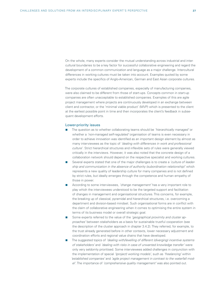On the whole, many experts consider the mutual understanding across industrial and intercultural boundaries to be a key factor for successful collaborative engineering and regard the development of a common communication and language as a major challenge. Intercultural differences in working cultures must be taken into account. Examples quoted by some experts include the specifics of Anglo-American, German and East Asian corporate cultures.

The corporate cultures of established companies, especially of manufacturing companies, were also claimed to be different from those of start-ups. Concepts common in start-up companies are often unacceptable to established companies. Examples of this are agile project management where projects are continuously developed in an exchange between client and contractor, or the 'minimal viable product' (MVP) which is presented to the client at the earliest possible point in time and then incorporates the client's feedback in subsequent development efforts.

#### Lower-priority issues

- The question as to whether collaborating teams should be *'hierarchically managed'* or whether a *'non-managed self-regulated'* organisation of teams is even necessary in order to achieve innovation was identified as an important design element by almost as many interviewees as the topic of *'dealing with differences in work and professional culture'*. Strict hierarchical structures and inflexible sets of rules were generally viewed critically in the interviews. However, it was also noted that the concrete design of a collaboration network should depend on the respective specialist and working cultures.
- Several experts stated that one of the major challenges is to create a *'culture of leadership and communication in the absence of authority (subordination relationship)'* which represents a new quality of leadership culture for many companies and is not defined by strict rules, but ideally emerges through the competence and human empathy of those in power.
- According to some interviewees, *'change management'* has a very important role to play which the interviewees understood to be the targeted support and facilitation of changes in management and organisational structures. This concerns, for example, the breaking up of classical, pyramidal and hierarchical structures, i.e. overcoming a department and division-based mindset. Such organisational forms are in conflict with the claim of collaborative engineering when it comes to optimising the entire system in terms of its business model or overall strategic goal.
- Some experts referred to the value of the *'geographical proximity and cluster approaches'* between stakeholders as a basis for sustainable trustful cooperation (see the description of the cluster approach in chapter 3.4.2). They referred, for example, to the trust already generated before in other contexts, lower necessary adjustment and coordination efforts and regional value chains that have developed.
- The suggested topics of *'dealing with/levelling of different (diverging) incentive systems of stakeholders'* and *'dealing with risks in case of unwanted knowledge transfer'* were only very seldomly prioritised. Some interviewees added challenges in conjunction with the implementation of special *'(project) working models'*, such as *'freelancing'* within *'established companies'* and *'agile project management in contrast to the waterfall model'*. The importance of *'comprehensive quality management'* was also pointed out.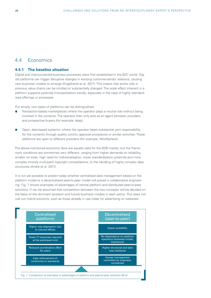## 4.4 Economics

#### **4.4.1 The baseline situation**

Digital and interconnected business processes were first established in the B2C world. Digital platforms can trigger disruptive changes in existing customer-vendor relations, causing new business models to emerge (Engelhardt et al. 2017). This means that entire rolls in previous value chains can be omitted or substantially changed. The scale effect inherent in a platform supports potential monopolisation trends, especially in the case of highly standardised offerings or processes.

Put simply, two types of platforms can be distinguished:

- Transaction-based marketplaces where the operator plays a neutral role without being involved in the contents. The operator then only acts as an agent between providers and prospective buyers (for example, ebay).
- Open, data-based systems: where the operator bears substantial joint responsibility for the contents through quality control, approval procedures or similar activities. These platforms are open to different providers (for example, MindSphere).

The above-mentioned economic laws are equally valid for the B2B market, but the framework conditions are sometimes very different, ranging from higher demands on reliability, smaller lot sizes, high need for individualisation, lower standardisation potential and more complex (mostly multi-part) copyright constellations, to the handling of highly complex data structures (André et al. 2017).

It is not yet possible to predict today whether centralised data management based on the platform model or a decentralised peer-to-peer model will prevail in collaborative engineering. Fig. 7 shows examples of advantages of central platform and distributed peer-to-peer solutions. It can be assumed that competition between the two concepts will be decided on the basis of the dominant (present and future) business models in each sector. This does not rule out hybrid solutions, such as those already in use today for advertising on websites.

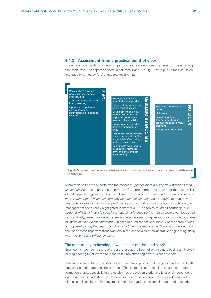#### **4.4.2 Assessment from a practical point of view**

The economic aspects for cross-company collaborative engineering were discussed during the interviews. The aspects shown in columns 1 and 2 in Fig. 8 were put up for discussion and supplemented by further aspects (column 3).



More than half of the experts rate the aspect of *'possibility to develop new business models and services'* as priority 1 or 2 in terms of the most important drivers for the economics of collaborative engineering. This is followed by the topics of *'time and efficiency gains'* and *'optimisation potential across company boundaries/self-adapting systems'.* Next up is *'strategic alliances beyond individual products'* as a topic that is closely related to collaboration management and already highlighted in chapter 4.1 . The topics of *'cross-company PLM'*, *'target conflicts of lifecycle costs'* and *'sustainable engineering'*, which were given less priority individually, were considered by several interviewees to represent the common topic area of *'product lifecycle management'*. In case of a retrospective summary of the three originally proposed topics, the new topic of *'product lifecycle management'* would come second in the list of most important trends/drivers in the economics of collaborative engineering along with the *'time and efficiency gains'*.

#### The opportunity to develop new business models and services

Engineering itself being state of the art is less at the heart of entirely new business . However, engineering must lay the foundation for implementing new business models.

It became clear in the expert discussions that a new product culture goes hand in hand with new service-orientated business models. This cultural change requires an adequate transformation phase, especially in the established production world, and is strongly dependent on the respective industry. Furthermore, some companies have not yet developed a reliable basic philosophy, so that several experts observed a considerable degree of insecurity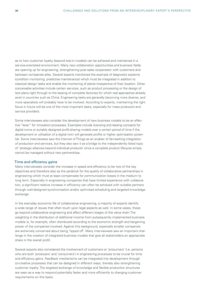<span id="page-29-0"></span>as to how customer loyalty (beyond lock-in models) can be achieved and maintained in a service-orientated environment. Many new collaboration opportunities and business fields are opening up for engineering, strengthening post-sales cooperation with customers and between companies alike. Several experts mentioned the example of diagnostic systems (condition monitoring, predictive maintenance) which must be integrated in addition to classical design tasks and enable the monitoring of plants irrespective of their location. Other conceivable activities include certain services, such as product processing or the design of test plans right through to the leasing of complete factories for which real approaches already exist in countries such as China. Engineering tasks are generally becoming more diverse, and more specialists will probably have to be involved. According to experts, maintaining the right focus in future will be one of the most important tasks, especially for mass producers and service providers.

Some interviewees also consider the development of new business models to be an effective "lever" for innovation processes. Examples include licensing and leasing concepts for digital twins or suitably designed profit-sharing models over a certain period of time if the development or utilisation of a digital twin will generate profits or higher optimisation potential. Some interviewees saw the Internet of Things as an enabler of far-reaching integration of production and services, but they also saw it as a bridge to the independently listed topic of 'strategic alliances beyond individual products' since a complete product lifecycle simply cannot be managed without new partnerships.

#### Time and efficiency gains

Many interviewees consider the increase in speed and efficiency to be two of the key objectives and therefore also as the yardstick for the quality of collaborative partnerships in engineering which must at least compensate for communication losses in the medium to long term. Especially in engineering companies that have limited experience with collaboration, a significant relative increase in efficiency can often be achieved with suitable partners through well-designed synchronisation and/or optimised scheduling and targeted knowledge exchange.

In the everyday economic life of collaborative engineering, a majority of experts identify a wide range of issues that often touch upon legal aspects as well. In some cases, these go beyond collaborative engineering and affect different stages of the value chain.The weighting in the distribution of additional income from subsequently implemented business models is, for example, often distributed according to the economic strength and bargaining power of the companies involved. Against this background, especially smaller companies are extremely concerned about being 'ripped off'. Many interviewees saw an important challenge in the creation of integrated business models that give all stakeholders an appropriate share in the overall profit.

Several experts also considered the involvement of customers or 'prosumers' (i.e. persons who are both 'producers' and 'consumers') in engineering processes to be crucial for time and efficiency gains. Feedback mechanisms can be integrated into development through co-creative processes that can be designed in different ways, thereby also strengthening customer loyalty. The targeted exchange of knowledge and flexible production structures are seen as a way to respond potentially faster and more efficiently to changing customer requirements on this basis.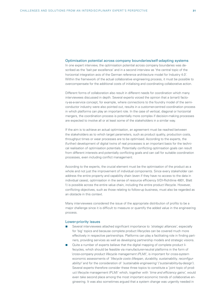#### <span id="page-30-0"></span>Optimisation potential across company boundaries/self-adapting systems

In one expert interview, the optimisation potential across company boundaries was described as the 'bait par excellence' and in a second interview as 'the central topic of the horizontal integration axis of the German reference architecture model for Industry 4.0'. Within the framework of the actual collaborative engineering process, it must be possible to overcompensate for the additional costs of initialising and coordinating collaborative action.

Different forms of collaboration also result in different needs for coordination which many interviewees discussed in depth. Several experts voiced the opinion that a (smart) factory-as-a-service concept, for example, where connections to the foundry model of the semiconductor industry were also pointed out, results in a customer-centred coordination process in which platforms can play an important role. In the case of vertical, diagonal or horizontal mergers, the coordination process is potentially more complex if decision-making processes are expected to involve all or at least some of the stakeholders in a similar way.

If the aim is to achieve an actual optimisation, an agreement must be reached between the stakeholders as to which target parameters, such as product quality, production costs, throughput times or wear processes are to be optimised. According to the experts, the (further) development of digital twins of real processes is an important basis for the technical realisation of optimisation potentials. Potentially conflicting optimsation goals can result from different interests and potentially conflicting goals and can call for suitable coordination processes, even including conflict management.

According to the experts, the crucial element must be the optimisation of the product as a whole and not just the improvement of individual components. Since every stakeholder can address the entire property and capability chain (even if they have no access to the data in individual cases), optimisation in the sense of resource efficiency (VDI-Richtlinie 4801, Blatt 1) is possible across the entire value chain, including the entire product lifecycle. However, conflicting objectives, such as those relating to follow-up business, must also be regarded as an obstacle in this context.

Many interviewees considered the issue of the appropriate distribution of profits to be a major challenge since it is difficult to measure or quantify the added value in the engineering process.

#### Lower-priority issues

- Several interviewees attached significant importance to *'strategic alliances'*, especially for 'big' topics and because complete product lifecycles can be covered much more effectively in respective partnerships. Platforms can play a facilitating role in finding partners, providing services as well as developing partnership models and strategic visions.
- Cuite a number of experts believe that the digital mapping of complete product lifecycles, which should be feasible via manufacturer-neutral platforms in the form of *'cross-company product lifecycle management (PLM)'*, is important for cross-system economic assessments of *'lifecycle costs (lifespan, durability, sustainability, reconfigurability)'* and for the consideration of *'sustainable engineering'* ('sustainability-by-design'). Several experts therefore consider these three topics to constitute a 'joint topic of product lifecycle management (PLM)' which, together with *'time and efficiency gains'*, would even take second place among the most important economic trends of collaborative engineering. It was also sometimes argued that a system change was urgently needed in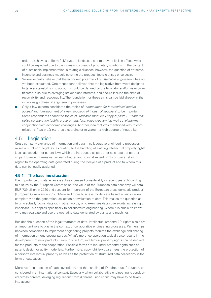order to achieve a uniform PLM system landscape and to prevent lock-in effects which could be expected due to the increasing spread of proprietary solutions. In the context of sustainable implementation in strategic alliances, however, the question of attractive incentive and business models covering the product lifecycle arises once again.

- Several experts believe that the economic potential of *'sustainable engineering'* has not yet been exhausted. One respondent believed that the legislative framework designed to take sustainability into account should be defined by the legislator and/or via eco-certificates, also due to diverging stakeholder interests, and should include the aims of recyclability and recoverability. The foundation for these aims can be laid already in the initial design phase of engineering processes.
- Only a few experts considered the topics of *'cooperation for international market access'* and *'development of a new typology of industrial suppliers'* to be important. Some respondents added the topics of *'reusable modules ('copy & paste')'*, *'industrial policy co-operation (public procurement, local value creation)'* as well as *'platforms'* in conjunction with economic challenges. Another idea that was mentioned was to commission a *'non-profit party'* as a coordinator to warrant a high degree of neutrality.

## 4.5 Legislation

Cross-company exchange of information and data in collaborative engineering processes raises a number of legal issues relating to the handling of existing intellectual property rights (such as copyright or patent law) which are introduced as part of or as a result of partnerships. However, it remains unclear whether and to what extent rights of use exist with regard to the operating data generated during the lifecycle of a product and to whom this data can be legally assigned.

#### **4.5.1 The baseline situation**

The importance of data as an asset has increased considerably in recent years. According to a study by the European Commission, the value of the European data economy will total EUR 739 billion in 2020 and account for 4 percent of the European gross domestic product (European Commission 2017). More and more business models are based in part or even completely on the generation, collection or evaluation of data. This makes the question as to who actually 'owns' data or, in other words, who exercises data sovereignty increasingly important. This applies specifically to collaborative engineering, where it is crucial to know who may evaluate and use the operating data generated by plants and machines..

Besides the question of the legal treatment of data, intellectual property (IP) rights also have an important role to play in the context of collaborative engineering processes. Partnerships between companies to implement engineering projects requires the exchange and sharing of information among several parties. What's more, co-operation typically also results in the development of new products. From this, in turn, intellectual property rights can be derived for the products of the cooperation. Possible forms are industrial property rights such as patent, design or utility model law. Furthermore, copyright law guarantees the protection of a person's intellectual property as well as the protection of structured data collections in the form of databases.

Moreover, the question of data sovereignty and the handling of IP rights must frequently be considered in an international context. Especially when collaborative engineering is conducted across borders, diverging regulations from different jurisdictions may have to be taken into account.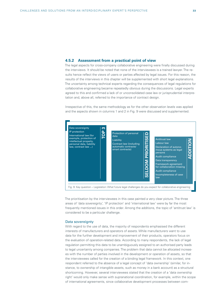#### **4.5.2 Assessment from a practical point of view**

The legal aspects for cross-company collaborative engineering were finally discussed during the interviews. It should be noted that none of the interviewees is a trained lawyer. The results hence reflect the views of users or parties affected by legal issues. For this reason, the results of the interviews in this chapter will be supplemented with short legal explanations. The uncertainty among technical experts regarding the consequences of legal regulations for collaborative engineering became repeatedly obvious during the discussions. Legal experts agreed to this and confirmed a lack of or unconsolidated case law or jurisprudential interpretation and, above all, referred to the importance of contract design.

Irrespective of this, the same methodology as for the other observation levels was applied and the aspects shown in columns 1 and 2 in Fig. 9 were discussed and supplemented.



The prioritisation by the interviewees in this case painted a very clear picture. The three areas of 'data sovereignty', 'IP protection' and 'international law' were by far the most frequently mentioned issues in this order. Among the additions, the topic of 'antitrust law' is considered to be a particular challenge.

#### Data sovereignty

With regard to the use of data, the majority of respondents emphasised the different interests of manufacturers and operators of assets. While manufacturers want to use data for the further development and improvement of their products, operators focus on the evaluation of operation-related data. According to many respondents, the lack of legal regulation permitting this data to be unambiguously assigned to an authorised party leads to legal uncertainty among companies. The problem that data cannot be allocated increases with the number of parties involved in the development or operation of assets, so that the interviewees called for the creation of a binding legal framework. In this context, one respondent referred to the absence of a legal concept of 'data ownership' (similar, for instance, to ownership of intangible assets, such as money in a bank account) as a structural shortcoming. However, several interviewees stated that the creation of a 'data ownership right' would only make sense with supranational coordination, for example, within the scope of international agreements, since collaborative development processes between com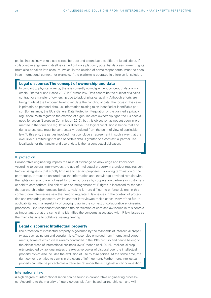panies increasingly take place across borders and extend across different jurisdictions. If collaborative engineering itself is carried out via a platform, potential data assignment rights must also be taken into account, which, in the opinion of some respondents, must be seen in an international context, for example, if the platform is operated in a foreign jurisdiction.

#### **Legal discourse: The concept of ownership and data**

In contrast to physical objects, there is currently no independent concept of data ownership (Ensthaler und Haase 2017) in German law. Data cannot be the subject of a sales contract or a transfer of ownership due to lack of physical quality. Although efforts are being made at the European level to regulate the handling of data, the focus in this case is primarily on personal data, i.e. information relating to an identified or identifiable person (for instance, the EU's General Data Protection Regulation or the planned e privacy regulation). With regard to the creation of a genuine data ownership right, the EU sees a need for action (European Commission 2015), but this objective has not yet been implemented in the form of a regulation or directive. The logical conclusion is hence that any rights to use data must be contractually regulated from the point of view of applicable law. To this end, the parties involved must conclude an agreement in such a way that the exclusive or limited right of use of certain data is granted to a contractual partner. The legal basis for the transfer and use of data is then a contractual obligation.

#### IP protection

Collaborative engineering implies the mutual exchange of knowledge and know-how. According to several interviewees, the use of intellectual property in a project requires contractual safeguards that strictly limit use to certain purposes. Following termination of the partnership, it must be ensured that the information and knowledge provided remain with the rights owner and are not used for other purposes by cooperation partners or customers or sold to competitors. The risk of loss or infringement of IP rights is increased by the fact that partnership often crosses borders, making it more difficult to enforce claims. In this context, one interviewee saw the need to regulate IP law issues in the context of protection and marketing concepts, whilst another interviewee took a critical view of the future applicability and manageability of copyright law in the context of collaborative engineering processes. One respondent described the clarification of contract law issues in this context as important, but at the same time identified the concerns associated with IP law issues as the main obstacle to collaborative engineering.

#### **Legal discourse: Intellectual property**

The protection of intellectual property is governed by the standards of intellectual property law, such as patent and copyright law. These rules emerged from international agreements, some of which were already concluded in the 19th century and hence belong to the oldest areas of international business law (Groeben et al. 2015). Intellectual property protected by law guarantees the exclusive power of disposal over the intellectual property, which also includes the exclusion of use by third parties. At the same time, the right owner is entitled to claims in the event of infringement. Furthermore, intellectual property can also be protected as a trade secret under the act against unfair competition.

#### International law

A high degree of internationalisation can be found in collaborative engineering processes. According to the majority of interviewees, platform-based partnership can and will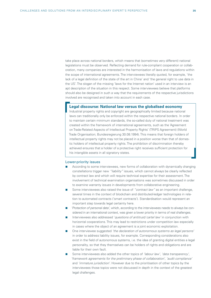<span id="page-34-0"></span>take place across national borders, which means that (sometimes very different) national legislations must be observed. Reflecting demand for rule-compliant cooperation or collaboration, many companies are interested in the harmonisation of laws and regulations within the scope of international agreements. The interviewees literally quoted, for example, 'the lack of a legal definition of the state of the art in China' and 'the general right to use data in the US'. The slogan of the missing 'laws for the Internet nation' used in an interview is an apt description of the situation in this respect. Some interviewees believe that platforms should also be designed in such a way that the requirements of the respective jurisdictions involved are recognised and taken into account in each case.

#### **Legal discourse: National law versus the globalised economy**

Industrial property rights and copyright are geographically limited because national laws can traditionally only be enforced within the respective national borders. In order to maintain certain minimum standards, the so-called duty of national treatment was created within the framework of international agreements, such as the 'Agreement on Trade-Related Aspects of Intellectual Property Rights' (TRIPS Agreement) (World Trade Organisation; Bundesregierung 30.08.1994). This means that foreign holders of intellectual property rights may not be placed in a position worse than that of domestic holders of intellectual property rights. The prohibition of discrimination thereby achieved ensures that a holder of a protective right receives sufficient protection for his intangible assets in all signatory states.

#### Lower-priority issues

- According to some interviewees, new forms of collaboration with dynamically changing constellations trigger new *"liability"* issues, which cannot always be clearly reflected by contract law and which will require technical expertise for their assessment. The involvement of technical examination organisations was sometimes discussed in order to examine warranty issues in developments from collaborative engineering.
- Some interviewees also raised the issue of *"contract law"* as an important challenge, several times in the context of blockchain and distributed-ledger technologies in relation to automated contracts ('smart contracts'). Standardisation would represent an important step towards legal certainty here.
- *'Protection of personal data'*, which, according to the interviewees needs to always be considered in an international context, was given a lower priority in terms of real challenges.
- Interviewees also addressed '*questions of antitrust/ cartel law'* in conjunction with horizontal cooperations. This may lead to restrictions under competition law especially in cases where the object of an agreement is a joint economic exploitation.
- One interviewee suggested *'the declaration of autonomous systems as legal persons'* in order to address liability issues, for example. Corresponding considerations also exist in the field of autonomous systems, i.e. the idea of granting digital entities a legal personality, so that they themselves can be holders of rights and obligations and are liable for their own fault.
- Some interviewees also added the other topics of *'labour law'*, *'data transparency'*, *'framework agreements for the preliminary phase of collaboration'*, *'audit compliance'* and *'immature jurisdiction'*. However due to the prioritisation of other topics by the interviewees those topics were not discussed in depth in the context of the greatest legal challenges.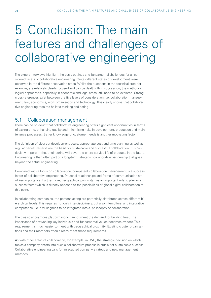## 5 Conclusion: The main features and challenges of collaborative engineering

The expert interviews highlight the basic outlines and fundamental challenges for all considered facets of collaborative engineering. Quite different states of development were observed in the different observation areas. Whilst the questions in the technical area, for example, are relatively clearly focused and can be dealt with in succession, the methodological approaches, especially in economic and legal areas, still need to be explored. Strong cross-references exist between the five levels of consideration, i.e. collaboration management, law, economics, work organisation and technology. This clearly shows that collaborative engineering requires holistic thinking and acting.

### 5.1 Collaboration management

There can be no doubt that collaborative engineering offers significant opportunities in terms of saving time, enhancing quality and minimising risks in development, production and maintenance processes. Better knowledge of customer needs is another motivating factor.

The definition of clear-cut development goals, appropriate cost and time planning as well as regular benefit reviews are the basis for sustainable and successful collaboration. It is particularly important that engineering will cover the entire service life of products in the future. Engineering is then often part of a long-term (strategic) collaborative partnership that goes beyond the actual engineering.

Combined with a focus on collaboration, competent collaboration management is a success factor of collaborative engineering. Personal relationships and forms of communication are of key importance. Furthermore, geographical proximity has an important role to play as a success factor which is directly opposed to the possibilities of global digital collaboration at this point.

In collaborating companies, the persons acting are potentially distributed across different hierarchical levels. This requires not only interdisciplinary, but also intercultural and integrative competence, i.e. a willingness to be integrated into a 'philosophy of collaboration'.

The classic anonymous platform world cannot meet the demand for building trust. The importance of networking key individuals and fundamental values becomes evident. This requirement is much easier to meet with geographical proximity. Existing cluster organisations and their members often already meet these requirements.

As with other areas of collaboration, for example, in R&D, the strategic decision on which topics a company enters into such a collaborative process is crucial for sustainable success. Collaborative engineering calls for an adapted company strategy and new management methods.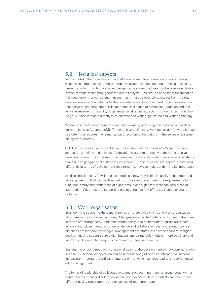### 5.2 Technical aspects

In this context, the focus lies on the shift towards exchange formats across domains and value chains. Irrespective of cross-company collaborative engineering, but as a necessary prerequisite for it, such universal exchange formats form the basis for the complete digitalisation of value chains throughout the entire lifecycle. Besides the need for standardisation, this requirement for consistency means that it must be possible to extract from the total data volume – i.e. the data pool – the concrete data subset that need to be considered for respective engineering steps. This generates challenges of dimension reduction and relevance assessment. The ability to generate suitabledata extracts is not only a technical challenge, but also interacts directly with questions of work organisation and work psychology.

When it comes to non-proprietary exchange formats, promising concepts are under development, such as AutomationML. The extensive preliminary work necessary for wide-spread use often first requires the identification of economic foundations in the sense of sustainable operator models.

Collaborative work is inconceivable without ensuring data consistency. What has been standard technology in databases for decades has yet to be resolved for the extensive dependency structures that exist in engineering. Global collaboration must also take latency times due to geographical distances into account. IT security as a focal aspect is assessed differently in terms of development requirements, however, without denying its importance.

Artificial intelligence (AI) will be considered as a newly available capability to be integrated into engineering. If AI can be designed in such a way that it meets the requirements for functional safety and robustness of algorithms, it can significantly change core areas of automation. With regard to supporting engineering itself, AI offers considerable long-term potential.

### 5.3 Work organisation

Engineering is subject to the general trends of future value chains and work organisation structures in the digitalised economy. Changes are expected with regard to team structures in terms of heterogeneity, leadership methodology and orchestration. Agility, quasi-parallel work with close interaction or dependence and collaboration over longer geographical distances present new challenges. Management structures will have to adapt to changed decision-making structures, role distributions and partnership models. Interdisciplinary and interregional cooperation requires overcoming cultural differences.

Besides the ongoing need for professional training, the development of new communication skills for multilateral co-operation and an understanding of one's counterpart will become increasingly important. Conflicts of interest or motivation can also lead to a need for knowledge management.

The forms of leadership of collaborative teams are becoming more heterogeneous, with a trend towards 'managed self-organisation' being expected here. Conflicts can result from different quality requirements and objectives of team members.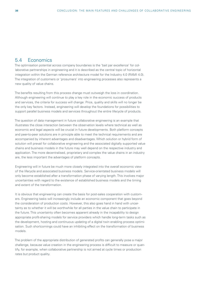## 5.4 Economics

The optimisation potential across company boundaries is the 'bait par excellence' for collaborative partnerships in engineering and it is described as the central topic of horizontal integration within the German reference architecture model for the Industry 4.0 (RAMI 4.0). The integration of customers or 'prosumers' into engineering processes also represents a new quality of value chains.

The benefits resulting from this process change must outweigh the loss in coordination. Although engineering will continue to play a key role in the economic success of products and services, the criteria for success will change: Price, quality and skills will no longer be the only key factors. Instead, engineering will develop the foundations for possibilities to support parallel business models and services throughout the entire lifecycle of products.

The question of data management in future collaborative engineering is an example that illustrates the close interaction between the observation levels where technical as well as economic and legal aspects will be crucial in future developments. Both platform concepts and peer-to-peer solutions are in principle able to meet the technical requirements and are accompanied by inherent advantages and disadvantages. Which solution or hybrid form of solution will prevail for collaborative engineering and the associated digitally supported value chains and business models in the future may well depend on the respective industry and application. The more decentralised, proprietary and complex the value chains in an industry are, the less important the advantages of platform concepts.

Engineering will in future be much more closely integrated into the overall economic view of the lifecycle and associated business models. Service-orientated business models will only become established after a transformation phase of varying length. This involves major uncertainties with regard to the existence of established business models and the timing and extent of the transformation.

It is obvious that engineering can create the basis for post-sales cooperation with customers. Engineering tasks will increasingly include an economic component that goes beyond the consideration of production costs. However, this also goes hand in hand with uncertainty as to whether it will be worthwhile for all parties in the value chain to participate in the future. This uncertainty often becomes apparent already in the incapability to design appropriate profit-sharing models for service providers which handle long-term tasks such as the development, hosting and continuous updating of a digital twin enabling process optimisation. Such shortcomings could have an inhibiting effect on the transformation of business models.

The problem of the appropriate distribution of generated profits can generally pose a major challenge, because value creation in the engineering process is difficult to measure or quantify, for example, when collaborative partnership is not aimed at cycle times or production rates but product quality.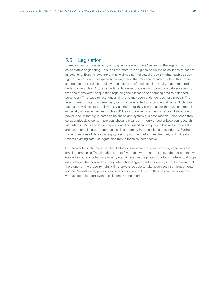## 5.5 Legislation

There is significant uncertainty among "engineering users" regarding the legal situation in collaborative engineering. This is all the more true as global value chains collide with national jurisdictions. Existing laws are primarily aimed at intellectual property rights, such as copyright or patent law. It is especially copyright law that plays an important role in this context, as engineering services regularly reach the level of intellectual creativity that is required under copyright law. At the same time, however, there is no provision on data sovereignty that finally answers the question regarding the allocation of operating data to a defined beneficiary. This leads to legal uncertainty and may even endanger business models. The assignment of data to a beneficiary can only be effected on a contractual basis. Such contractual provisions are certainly a key element, but they can endanger the business models especially of weaker parties, such as SMEs who are facing an asymmetrical distribution of power, and ultimately threaten value chains and system business models. Experience from collaborative development projects shows a clear asymmetry of power between research institutions, SMEs and large corporations. This specifically applies to business models that are based on a long-term approach, as is customary in the capital goods industry. Furthermore, questions of data sovereignty also impact the platform architecture, which ideally reflects existing data use rights also from a technical perspective.

On the whole, such unresolved legal situations represent a significant risk, especially for smaller companies. The situation is more favourable with regard to copyright and patent law (as well as other intellectual property rights) because the protection of such intellectual property is largely harmonised by many international agreements, however, with the caveat that the owner of the property right will not always be able to take action against infringements abroad. Nevertheless, previous experience shows that such difficulties can be overcome with acceptable effort even in collaborative engineering.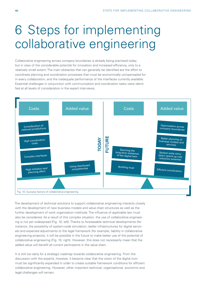## <span id="page-39-0"></span>6 Steps for implementing collaborative engineering

Collaborative engineering across company boundaries is already being practised today, but in view of the considerable potential for innovation and increased efficiency, only to a relatively small extent. The main obstacles that can generally be identified are the effort to coordinate planning and coordination processes that must be economically compensated for in every collaboration, and the inadequate performance of the interfaces currently available. Essential challenges in conjunction with communication and coordination tasks were identified at all levels of consideration in the expert interviews.



The development of technical solutions to support collaborative engineering interacts closely with the development of new business models and value chain structures as well as the further development of work organisation methods. The influence of applicable law must also be considered. As a result of this complex situation, the use of collaborative engineering is not yet widespread (Fig. 10, left). Thanks to foreseeable technical developments (for instance, the possibility of system-wide simulation, better infrastructures for digital services) and expected adjustments to the legal framework (for example, liability in collaborative engineering projects), it will be possible in the future to make better use of the potential of collaborative engineering (Fig. 10, right). However, this does not necessarily mean that the added value will benefit all current participants in the value chain.

It is still too early for a strategic roadmap towards collaborative engineering. From the discussion with the experts, however, it became clear that the vision of the digital twin must be significantly expanded in order to create suitable framework conditions for efficient collaborative engineering. However, other important technical, organisational, economic and legal challenges will remain.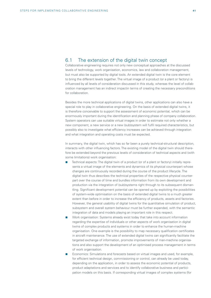## <span id="page-40-0"></span>6.1 The extension of the digital twin concept

Collaborative engineering requires not only new conceptual approaches at the discussed levels of technology, work organisation, economics, law and collaboration management, but must also be supported by digital tools. An extended digital twin is the core element to bring the different levels together. The virtual image of a product (or a plant or factory) is influenced by all levels of consideration discussed in this study, whereas the level of collaboration management has an indirect impactin terms of creating the necessary preconditions for collaboration.

Besides the more technical applications of digital twins, other applications can also have a special role to play in collaborative engineering. On the basis of extended digital twins, it is therefore conceivable to support the assessment of economic potential, which can be enormously important during the identification and planning phase of company collaboration. System operators can use suitable virtual images in order to estimate not only whether a new component, a new service or a new (sub)system will fulfil required characteristics, but possibly also to investigate what efficiency increases can be achieved through integration and what integration and operating costs must be expected.

In summary, the digital twin, which has so far been a purely technical-structural description, interacts with other influencing factors. The existing model of the digital twin should therefore be extended beyond the previous levels of consideration of technical aspects and (with some limitations) work organisation:

- Technical aspects: The digital twin of a product (or of a plant or factory) initially represents a virtual image of the elements and dynamics of its physical counterpart whose changes are continuously recorded during the course of the product lifecycle. The digital twin thus describes the technical properties of the respective physical counterpart over the course of time and bundles information from its own development and production via the integration of (sub)systems right through to its subsequent dismantling. Significant development potential can be opened up by exploiting the possibilities of system-wide optimisation on the basis of extended digital twins to a much greater extent than before in order to increase the efficiency of products, assets and factories. However, the general usability of digital twins for the quantitative simulation of product, subsystem and overall system behaviour must be further expanded, with the semantic integration of data and models playing an important role in this respect.
- Work organisation: Systems already exist today that take into account information regarding the expertise of individuals or other aspects of work organisation in digital twins of complex products and systems in order to enhance the human-machine organisation. One example is the possibility to map necessary qualification certificates in aircraft maintenance. The use of extended digital twins can significantly facilitate the targeted exchange of information, promote improvements of man-machine organisations and also support the development of an optimised process management in terms of work organisation.
- Economics: Simulations and forecasts based on virtual images and used, for example, for efficient technical design, commissioning or control, can already be used today, depending on the application, in order to assess the economic potential of products, product adaptations and services and to identify collaborative business and participation models on this basis. If corresponding virtual images of complex systems (for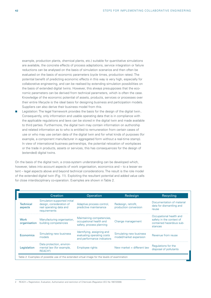<span id="page-41-0"></span>example, production plants, chemical plants, etc.) suitable for quantitative simulations are available, the concrete effects of process adaptations, service integration or failure reductions can be analysed on the basis of simulation scenarios and then often be evaluated on the basis of economic parameters (cycle times, production rates). The potential benefit of predicting economic effects in this way is very high, especially for collaborative engineering, and can be realised by extending simulation possibilities on the basis of extended digital twins. However, this always presupposes that the economic parameters can be derived from technical parameters, which is often the case. Knowledge of the economic potential of assets, products, services or processes over their entire lifecycle is the ideal basis for designing business and participation models. Suppliers can also derive their business model from this.

 Legislation: The legal framework provides the basis for the design of the digital twin.. Consequently, only information and usable operating data that is in compliance with the applicable regulations and laws can be stored in the digital twin and made available to third parties. Furthermore, the digital twin may contain information on authorship and related information as to who is entitled to remuneration from certain cases of use or who may use certain data of the digital twin and for what kinds of purposes (for example, a component manufacturer in aggregated form without a real-time stamp). In view of international business partnerships, the potential relocation of workplaces or the trade in products, assets or services, this has consequences for the design of (extended) digital twins.

On the basis of the digital twin, a cross-system understanding can be developed which. however, takes into account aspects of work organisation, economics and – to a lesser extent – legal aspects above and beyond technical considerations. The result is the role model of the extended digital twin (Fig. 11). Exploiting the resultant potential and added value calls for close interdisciplinary co-operation. Examples are shown in Table 2.

|                             | Creation                                                                                            | Operation                                                                              | Redesign                                          | Recycling                                                                                  |
|-----------------------------|-----------------------------------------------------------------------------------------------------|----------------------------------------------------------------------------------------|---------------------------------------------------|--------------------------------------------------------------------------------------------|
| <b>Technical</b><br>aspects | Simulation-supported initial<br>design, consideration of<br>real operating data and<br>requirements | Adaptive process control,<br>predictive maintenance                                    | Redesign, retrofit,<br>production conversion      | Documentation of material<br>data for dismantling and<br>reuse                             |
| Work<br>organisation        | Manufacturing organisation,<br>building competencies                                                | Maintaining competencies,<br>occupational health and<br>safety, process planning       | Change management                                 | Occupational health and<br>safety in the context of<br>contained hazardous sub-<br>stances |
| <b>Economics</b>            | Simulating new business<br>models                                                                   | Identifying, assigning and<br>evaluating operating costs<br>and performance indicators | Simulating new business<br>model/market expansion | Revenue from reuse                                                                         |
| Legislation                 | Data protection, environ-<br>mental law (for example,<br>REACH <sup>2</sup> )                       | Employee rights                                                                        | New market $=$ different law                      | Regulations for the<br>disposal of pollutants                                              |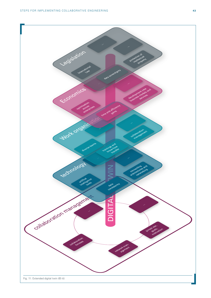<span id="page-42-0"></span>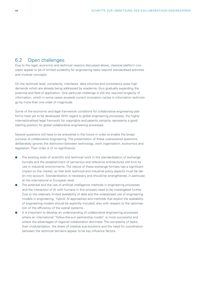## <span id="page-43-0"></span>6.2 Open challenges

Due to the legal, economic and technical reasons discussed above, classical platform concepts appear to be of limited suitability for engineering tasks beyond standardised activities and modular concepts.

On the technical level, complexity, interfaces, data volumes and consistency pose high demands which are already being addressed by academia, thus gradually expanding the potential and field of application. One particular challenge is still the required longevity of information, which in some cases exceeds current innovation cycles in information technology by more than one order of magnitude.

Some of the economic and legal framework conditions for collaborative engineering platforms have yet to be developed. With regard to global engineering processes, the highly internationalised legal framwork for copyrights and patents certainly represents a good starting position for global collaborative engineering processes.

Several questions will have to be answered in the future in order to enable the broad success of collaborative engineering. The presentation of these unanswered questions deliberately ignores the distinction between technology, work organisation, economics and legislation. Their order is of no significance.

- The existing state of scientific and technical work in the standardisation of exchange formats and the establishment of semantics and reference architectures still limit its use in industrial environments. The nature of these exchange formats has a significant impact on the market, so that both technical and industrial policy aspects must be taken into account. Standardisation is necessary and should be strengthened, in particular, at the international or European level.
- The potential and the use of artificial intelligence methods in engineering processes and the interaction of AI with humans in this process need to be investigated further. Due to the relatively limited availability of data and the widespread use of engineering models in engineering, 'hybrid' AI approaches and methods that exploit the availability of engineering models should be explicitly included, also with respect to the optimisation of the efficiency of the overall systems..
- It is important to develop an understanding of collaborative engineering processes where an international "follow-the-sun partnership model" is more successful and where the advantages of regional collaboration dominate. The complexity of tasks, their modularisation, the share of creative sub-solutions and the need for coordination between the technical domains appear to be key influence factors.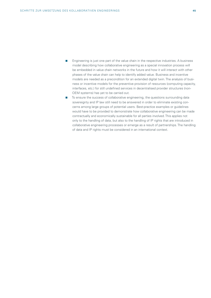- <span id="page-44-0"></span> Engineering is just one part of the value chain in the respective industries. A business model describing how collaborative engineering as a special innovation process will be embedded in value chain networks in the future and how it will interact with other phases of the value chain can help to identify added value. Business and incentive models are needed as a precondition for an extended digital twin. The analysis of business or incentive models for the preventive provision of resources (computing capacity, interfaces, etc.) for still undefined services in decentralised provider structures (non-OEM systems) has yet to be carried out.
- To ensure the success of collaborative engineering, the questions surrounding data sovereignty and IP law still need to be answered in order to eliminate existing concerns among large groups of potential users. Best-practice examples or guidelines would have to be provided to demonstrate how collaborative engineering can be made contractually and economically sustainable for all parties involved. This applies not only to the handling of data, but also to the handling of IP rights that are introduced in collaborative engineering processes or emerge as a result of partnerships. The handling of data and IP rights must be considered in an international context.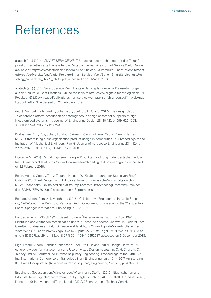## <span id="page-45-0"></span>References

acatech (ed.) (2014): SMART SERVICE WELT. Umsetzungsempfehlungen für das Zukunftsprojekt Internetbasierte Dienste für die Wirtschaft. Arbeitskreis Smart Service Welt. Online available at http://www.acatech.de/fileadmin/user\_upload/Baumstruktur\_nach\_Website/Acatech/root/de/Projekte/Laufende\_Projekte/Smart\_Service\_Welt/BerichtSmartService\_mitUmschlag\_barrierefrei\_HW76\_DNK2.pdf, accessed on 16 March 2016.

acatech (ed.) (2016): Smart Service Welt: Digitale Serviceplattformen – Praxiserfahrungen aus der Industrie. Best Practices. Online available at http://www.digitale-technologien.de/DT/ Redaktion/DE/Downloads/Publikation/smart-service-welt-praxiserfahrungen.pdf?\_\_blob=publicationFile&v=3, accessed on 22 February 2019.

André, Samuel; Elgh, Fredrik; Johansson, Joel; Stolt, Roland (2017): The design platform – a coherent platform description of heterogeneous design assets for suppliers of highly customised systems. In: Journal of Engineering Design 28 (10-12), p. 599–626. DOI: 10.1080/09544828.2017.1376244.

Baalbergen, Erik; Kos, Johan; Louriou, Clément; Campguilhem, Cédric; Barron, James (2017): Streamlining cross-organisation product design in aeronautics. In: Proceedings of the Institution of Mechanical Engineers, Part G: Journal of Aerospace Engineering 231 (12), p. 2192–2202. DOI: 10.1177/0954410017716480.

Bitkom e. V. (2017): Digital Engineering - Agile Produktentwicklung in der deutschen Industrie. Online available at https://www.bitkom-research.de/Digital-Engineering-2017, accessed on 22 February 2019.

Bonin, Holger, Georgy, Terry; Zierahn, Holger (2015): Übertragung der Studie von Frey/ Osborne (2013) auf Deutschland. Ed. by Zentrum für Europäische Wirtschaftsforschung (ZEW). Mannheim. Online available at ftp://ftp.zew.de/pub/zew-docs/gutachten/Kurzexpertise\_BMAS\_ZEW2015.pdf, accessed on 4 September 8.

Borsato, Milton; Peruzzini, Margherita (2015): Collaborative Engineering. In: Josip Stjepandic, Nel Wognum und Wim J.C. Verhagen (ed.): Concurrent Engineering in the 21st Century. Cham: Springer International Publishing, p. 165–196.

Bundesregierung (30.08.1994): Gesetz zu dem Übereinkommen vom 15. April 1994 zur Errichtung der Welthandelsorganisation und zur Änderung anderer Gesetze. In: Federal Law Gazette (Bundesgesetzblatt). Online available at https://www.bgbl.de/xaver/bgbl/start.xav?start=//\*%5B@attr\_id=%27bgbl294s1438.pdf%27%5D#\_\_bgbl\_\_%2F%2F\*%5B%40attr\_id%3D%27bgbl294s1438.pdf%27%5D\_\_1544110952687, accessed on 6 December 2018.

Elgh, Fredrik; André, Samuel; Johansson, Joel; Stolt, Roland (2017): Design Platform - A coherent Model for Management and Use of Mixed Design Assets. In: C. H. Chen, A. C. Trappey und M. Peruzzini (ed.): Transdisciplinary Engineering. Proceedings of the 24th ISPE Inc. International Conference on Transdisciplinary Engineering, July 10-14 2017. Amsterdam: IOS Press Incorporated (Advances in Transdisciplinary Engineering Ser, v.5), p. 703–713.

Engelhardt, Sebastian von; Wangler, Leo; Wischmann, Steffen (2017): Eigenschaften und Erfolgsfaktoren digitaler Plattformen. Ed. by Begleitforschung AUTONOMIK für Industrie 4.0, iit-Institut für Innovation und Technik in der VDI/VDE Innovation + Technik GmbH.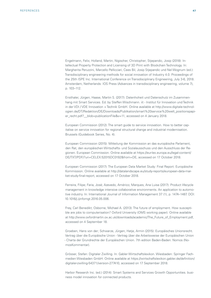Engelmann, Felix; Holland, Martin; Nigischer, Christopher; Stjepandic, Josip (2018): Intellectual Property Protection and Licensing of 3D Print with Blockchain Technology. In: Margherita Peruzzini, Marcello Pellicciari, Cees Bil, Josip Stjepandic und Nel Wognum (ed.): Transdisciplinary engineering methods for social innovation of Industry 4.0. Proceedings of the 25th ISPE Inc. International Conference on Transdisciplinary Engineering, July 3-6, 2018. Amsterdam, Netherlands: IOS Press (Advances in transdisciplinary engineering, volume 7), p. 103–112.

Ensthaler, Jürgen; Haase, Martin S. (2017): Datenhoheit und Datenschutz im Zusammenhang mit Smart Services. Ed. by Steffen Wischmann. iit - Institut für Innovation und Technik in der VDI / VDE Innovation + Technik GmbH. Online available at http://www.digitale-technologien.de/DT/Redaktion/DE/Downloads/Publikation/smart%20service%20welt\_positionspapier\_recht.pdf?\_\_blob=publicationFile&v=11, accessed on 4 January 2018.

European Commission (2012): The smart guide to service innovation. How to better capitalise on service innovation for regional structural change and industrial modernisation. Brussels (Guidebook Series, No. 4).

European Commission (2015): Mitteilung der Kommission an das europäische Parlament, den Rat, den europäischen Wirtschafts- und Sozialausschuss und den Ausschluss der Regionen. European Commission. Online available at https://eur-lex.europa.eu/legal-content/ DE/TXT/PDF/?uri=CELEX:52015DC0192&from=DE, accessed on 17 October 2018.

European Commission (2017): The European Data Market Study: Final Report. Europäische Kommission. Online available at http://datalandscape.eu/study-reports/european-data-market-study-final-report, accessed on 17 October 2018.

Ferreira, Filipe; Faria, José; Azevedo, Américo; Marques, Ana Luisa (2017): Product lifecycle management in knowledge intensive collaborative environments. An application to automotive industry. In: International Journal of Information Management 37 (1), p. 1474–1487. DOI: 10.1016/j.ijinfomgt.2016.05.006.

Frey, Carl Benedikt; Osborne, Michael A. (2013): The future of employment. How susceptible are jobs to computerisation? Oxford University (OMS working paper). Online available at http://www.oxfordmartin.ox.ac.uk/downloads/academic/The\_Future\_of\_Employment.pdf, accessed on 4 September 18.

Groeben, Hans von der; Schwarze, Jürgen; Hatje, Armin (2015): Europäisches Unionsrecht. Vertrag über die Europäische Union - Vertrag über die Arbeitsweise der Europäischen Union - Charta der Grundrechte der Europäischen Union. 7th edition Baden-Baden: Nomos (NomosKommentar).

Grösser, Stefan: Digitaler Zwilling. In: Gabler Wirtschaftslexikon. Wiesbaden: Springer Fachmedien Wiesbaden GmbH. Online available at https://wirtschaftslexikon.gabler.de/definition/ digitaler-zwilling-54371/version-277410, accessed on 17 September 2018.

Harbor Research Inc. (ed.) (2014): Smart Systems and Services Growth Opportunities. business model innovation for connected products.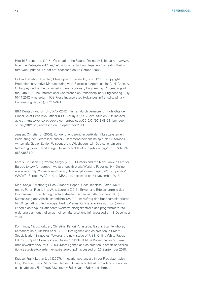Hitachi Europe Ltd. (2015): Co-creating the Future. Online available at http://www. hitachi.eu/sites/default/files/fields/document/sib/whitepapers/cocreatingthefuture-web-updated\_17\_oct.pdf, accessed on 12 October 2018.

Holland, Martin; Nigischer, Christopher; Stjepandic, Josip (2017): Copyright Protection in Additive Manufacturing with Blockchain Approach. In: C. H. Chen, A. C. Trappey und M. Peruzzini (ed.): Transdisciplinary Engineering. Proceedings of the 24th ISPE Inc. International Conference on Transdisciplinary Engineering, July 10-14 2017. Amsterdam: IOS Press Incorporated (Advances in Transdisciplinary Engineering Ser, v.5), p. 914–921.

IBM Deutschland GmbH / XAX (2012): Führen durch Vernetzung. Highlights der Global Chief Executive Officer (CEO) Study (CEO C-Level Studien). Online available at https://www.xax.de/wp-content/uploads/2016/01/2012-08-29\_ibm\_ceo\_ studie\_2012.pdf, accessed on 3 September 2018.

Jensen, Christian J. (2001): Kundenorientierung in vertikalen Absatzsystemen. Bedeutung der Hersteller-Händler-Zusammenarbeit am Beispiel der Automobilwirtschaft. Gabler Edition Wissenschaft. Wiesbaden, s.l.: Deutscher Universitätsverlag (Forum Marketing). Online available at http://dx.doi.org/10.1007/978-3- 663-08681-9.

Ketels, Christian H.; Protsiv, Sergiy (2013): Clusters and the New Growth Path for Europe (www for europe - welfare-wealth-work, Working Paper no 14). Online available at http://www.foreurope.eu/fileadmin/documents/pdf/Workingpapers/ WWWforEurope\_WPS\_no014\_MS47.pdf, accessed on 24 November 2018.

Kind, Sonja; Ehrenberg-Silies, Simone; Hoppe, Udo; Hannicke, Sarah; Kaufmann, Peter; Fischl, Iris; Wolf, Laurenz (2013): Erweiterte Erfolgskontrolle des Programms zur Förderung der Industriellen Gemeinschaftsforschung (IGF). Kurzfassung des Abschlussberichts 12/2013. Im Auftrag des Bundesministeriums für Wirtschaft und Technologie. Berlin, Vienna. Online available at https://www. iit-berlin.de/de/publikationen/erweiterte-erfolgskontrolle-des-programms-zur-foerderung-der-industriellen-gemeinschaftsforschung-igf, accessed on 18 December 2018.

Komninos, Nicos; Kakderi, Christina; Panori, Anastasia; Garcia, Eva; Fellnhofer, Katharina; Reid, Alasdair et al. (2018): Intelligence and co-creation in Smart Specialisation Strategies. Towards the next stage of RIS3. Online White Paper. Ed. by European Commission. Online available at https://www.napier.ac.uk/~/ media/worktribe/output-1290361/intelligence-and-co-creation-in-smart-specialisation-strategies-towards-the-next-stage-of.pdf, accessed on 20 September 2018.

Krause, Frank-Lothar (ed.) (2007): Innovationspotenziale in der Produktentwicklung. Berliner Kreis. München: Hanser. Online available at http://deposit.dnb.de/ cgi-bin/dokserv?id=2799783&prov=M&dok\_var=1&dok\_ext=htm.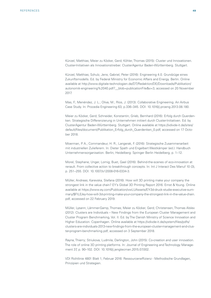Künzel, Matthias; Meier zu Köcker, Gerd; Köhler, Thomas (2015): Cluster und Innovationen. Cluster-Initiativen als Innovationstreiber. ClusterAgentur Baden-Württemberg. Stuttgart.

Künzel, Matthias; Schulz, Jens; Gabriel, Peter (2016): Engineering 4.0. Grundzüge eines Zukunftsmodells. Ed. by Federal Ministry for Economic Affairs and Energy. Berlin. Online available at http://www.digitale-technologien.de/DT/Redaktion/DE/Downloads/Publikation/ autonomik-engineering%2040.pdf?\_\_blob=publicationFile&v=3, accessed on 20 November 2017.

Mas, F.; Menéndez, J. L.; Oliva, M.; Ríos, J. (2013): Collaborative Engineering. An Airbus Case Study. In: Procedia Engineering 63, p.336–345. DOI: 10.1016/j.proeng.2013.08.180.

Meier zu Köcker, Gerd; Schneider, Konstantin; Grieb, Bernhard (2016): Erfolg durch Querdenken. Strategische Differenzierung in Unternehmen initiiert durch Cluster-Initiativen. Ed. by ClusterAgentur Baden-Württemberg. Stuttgart. Online available at https://vdivde-it.de/sites/ default/files/document/Publikation\_Erfolg\_durch\_Querdenken\_0.pdf, accessed on 17 October 2018.

Moerman, P. A.; Commandeur, H. R.; Langerak, F. (2016): Strategische Zusammenarbeit mit industriellen Zulieferern. In: Dieter Spath und Engelbert Westkämper (ed.): Handbuch Unternehmensorganisation. Berlin, Heidelberg: Springer Berlin Heidelberg, p. 1–12.

Morel, Stephane; Unger, Lomig; Buet, Gael (2016): Behind-the-scenes of eco-innovation at renault. From collective action to breakthrough concepts. In: Int J Interact Des Manuf 10 (3), p. 251–255. DOI: 10.1007/s12008-016-0334-3.

Müller, Andreas; Karevska, Stefana (2016): How will 3D printing make your company the strongest link in the value chain? EY's Global 3D Printing Report 2016. Ernst & Young. Online available at https://www.ey.com/Publication/vwLUAssets/EY-3d-druck-studie-executive-summary/\$FILE/ey-how-will-3d-printing-make-your-company-the-strongest-link-in-the-value-chain. pdf, accessed on 22 February 2019.

Müller, Lysann; Lämmer-Gamp, Thomas; Meier zu Köcker, Gerd; Christensen, Thomas Alslev (2012): Clusters are Individuals – New Findings from the European Cluster Management and Cluster Program Benchmarking, Vol. II. Ed. by The Danish Ministry of Science Innovation and Higher Education. Copenhagen. Online available at https://vdivde-it.de/system/files/pdfs/ clusters-are-individuals-2013-new-findings-from-the-european-cluster-management-and-cluster-program-benchmarking.pdf, accessed on 3 September 2018.

Rayna, Thierry; Striukova, Ludmila; Darlington, John (2015): Co-creation and user innovation. The role of online 3D printing platforms. In: Journal of Engineering and Technology Management 37, p. 90–102. DOI: 10.1016/j.jengtecman.2015.07.002.

VDI Richtlinie 4801 Blatt 1, Februar 2016: Ressourceneffizienz - Methodische Grundlagen, Prinzipien und Strategien.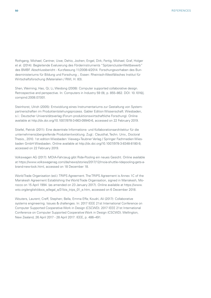Rothgang, Michael; Cantner, Uwe; Dehio, Jochen; Engel, Dirk; Fertig, Michael; Graf, Holger et al. (2014): Begleitende Evaluierung des Förderinstruments "Spitzencluster-Wettbewerb" des BMBF. Abschlussbericht - Kurzfassung 11/2008-4/2014. Forschungsvorhaben des Bundesministeriums für Bildung und Forschung ;. Essen: Rheinisch-Westfälisches Institut für Wirtschaftsforschung (Materialien / RWI, H. 83).

Shen, Weiming; Hao, Qi; Li, Weidong (2008): Computer supported collaborative design. Retrospective and perspective. In: Computers in Industry 59 (9), p. 855–862. DOI: 10.1016/j. compind.2008.07.001.

Steinhorst, Ulrich (2005): Entwicklung eines Instrumentariums zur Gestaltung von Systempartnerschaften im Produktentstehungsprozess. Gabler Edition Wissenschaft. Wiesbaden, s.l.: Deutscher Universitätsverlag (Forum produktionswirtschaftliche Forschung). Online available at http://dx.doi.org/10.1007/978-3-663-09940-6, accessed on 22 February 2019.

Stiefel, Patrick (2011): Eine dezentrale Informations- und Kollaborationsarchitektur für die unternehmensübergreifende Produktentwicklung. Zugl.: Clausthal, Techn. Univ., Doctoral Thesis., 2010. 1st edition Wiesbaden: Vieweg+Teubner Verlag / Springer Fachmedien Wiesbaden GmbH Wiesbaden. Online available at http://dx.doi.org/10.1007/978-3-8348-8180-9, accessed on 22 February 2019.

Volkswagen AG (2017): MOIA-Fahrzeug gibt Ride-Pooling ein neues Gesicht. Online available at https://www.volkswagenag.com/de/news/stories/2017/12/moia-shuttle-ridepooling-gets-abrand-new-look.html, accessed on 18 December 18.

World Trade Organisation (ed.): TRIPS Agreement. The TRIPS Agreement is Annex 1C of the Marrakesh Agreement Establishing the World Trade Organisation, signed in Marrakesh, Morocco on 15 April 1994. (as amended on 23 January 2017). Online available at https://www. wto.org/english/docs\_e/legal\_e/31bis\_trips\_01\_e.htm, accessed on 6 December 2018.

Wouters, Laurent; Creff, Stephen; Bella, Emma Effa; Koudri, Ali (2017): Collaborative systems engineering. Issues & challenges. In: 2017 IEEE 21st International Conference on Computer Supported Cooperative Work in Design (CSCWD). 2017 IEEE 21st International Conference on Computer Supported Cooperative Work in Design (CSCWD). Wellington, New Zealand, 26 April 2017 - 28 April 2017: IEEE, p. 486–491.